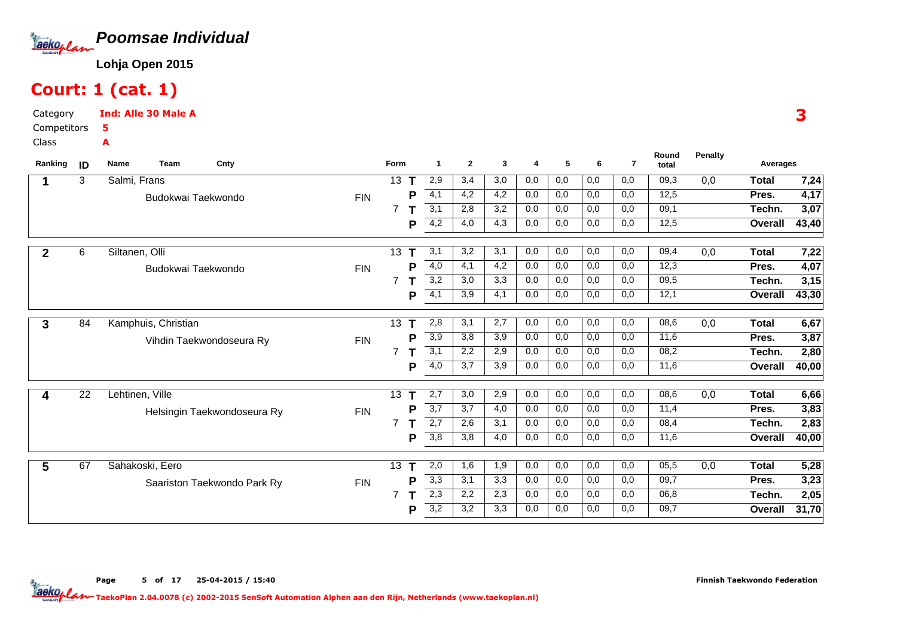

# Court: 1 (cat. 1)

Category CompetitorsClassInd: Alle 30 Male A5A

|                                         |                             |            | Form           |             | -1               | $\mathbf{2}$ | 3   | 4   | 5   | 6                | $\overline{7}$ | total |     | Averages     |       |
|-----------------------------------------|-----------------------------|------------|----------------|-------------|------------------|--------------|-----|-----|-----|------------------|----------------|-------|-----|--------------|-------|
| 3<br>Salmi, Frans<br>1                  |                             |            | 13             |             | 2,9              | 3,4          | 3,0 | 0,0 | 0,0 | 0,0              | 0,0            | 09,3  | 0,0 | <b>Total</b> | 7,24  |
|                                         | Budokwai Taekwondo          | <b>FIN</b> |                | P           | 4,1              | 4,2          | 4,2 | 0,0 | 0,0 | 0,0              | 0,0            | 12,5  |     | Pres.        | 4,17  |
|                                         |                             |            |                |             | $\overline{3,1}$ | 2,8          | 3,2 | 0,0 | 0,0 | 0,0              | 0,0            | 09,1  |     | Techn.       | 3,07  |
|                                         |                             |            |                | P           | 4,2              | 4,0          | 4,3 | 0,0 | 0,0 | 0,0              | 0,0            | 12,5  |     | Overall      | 43,40 |
| 6<br>Siltanen, Olli<br>$\overline{2}$   |                             |            | 13             | т           | 3,1              | 3,2          | 3,1 | 0,0 | 0,0 | 0,0              | 0,0            | 09,4  | 0,0 | <b>Total</b> | 7,22  |
|                                         | Budokwai Taekwondo          | <b>FIN</b> |                | P           | 4,0              | 4,1          | 4,2 | 0,0 | 0,0 | 0,0              | 0,0            | 12,3  |     | Pres.        | 4,07  |
|                                         |                             |            | $\overline{7}$ |             | $\overline{3,2}$ | 3,0          | 3,3 | 0,0 | 0,0 | $\overline{0,0}$ | 0,0            | 09,5  |     | Techn.       | 3,15  |
|                                         |                             |            |                | P           | $\overline{4,1}$ | 3,9          | 4,1 | 0,0 | 0,0 | 0,0              | 0,0            | 12,1  |     | Overall      | 43,30 |
| Kamphuis, Christian<br>84<br>3          |                             |            | 13             | $\mathsf T$ | 2,8              | 3,1          | 2,7 | 0,0 | 0,0 | 0,0              | 0,0            | 08,6  | 0,0 | <b>Total</b> | 6,67  |
|                                         | Vihdin Taekwondoseura Ry    | <b>FIN</b> |                | P           | 3,9              | 3,8          | 3,9 | 0,0 | 0,0 | 0,0              | 0,0            | 11,6  |     | Pres.        | 3,87  |
|                                         |                             |            |                |             | $\overline{3,1}$ | 2,2          | 2,9 | 0,0 | 0,0 | 0,0              | 0,0            | 08,2  |     | Techn.       | 2,80  |
|                                         |                             |            |                | P           | 4,0              | 3,7          | 3,9 | 0,0 | 0,0 | 0,0              | 0,0            | 11,6  |     | Overall      | 40,00 |
| $\overline{22}$<br>Lehtinen, Ville<br>4 |                             |            | 13             |             | 2,7              | 3,0          | 2,9 | 0,0 | 0,0 | 0,0              | 0,0            | 08,6  | 0,0 | <b>Total</b> | 6,66  |
|                                         | Helsingin Taekwondoseura Ry | <b>FIN</b> |                | P           | $\overline{3,7}$ | 3,7          | 4,0 | 0,0 | 0,0 | 0,0              | 0,0            | 11,4  |     | Pres.        | 3,83  |
|                                         |                             |            | $\overline{7}$ |             | 2,7              | 2,6          | 3,1 | 0,0 | 0,0 | 0,0              | 0,0            | 08,4  |     | Techn.       | 2,83  |
|                                         |                             |            |                | P           | $\overline{3,8}$ | 3,8          | 4,0 | 0,0 | 0,0 | 0,0              | 0,0            | 11,6  |     | Overall      | 40,00 |
| 67<br>Sahakoski, Eero<br>5              |                             |            | 13             | Τ           | 2,0              | 1,6          | 1,9 | 0,0 | 0,0 | 0,0              | 0,0            | 05,5  | 0,0 | <b>Total</b> | 5,28  |
|                                         | Saariston Taekwondo Park Ry | <b>FIN</b> |                | P           | 3,3              | 3,1          | 3,3 | 0,0 | 0,0 | 0,0              | 0,0            | 09,7  |     | Pres.        | 3,23  |
|                                         |                             |            |                |             | 2,3              | 2,2          | 2,3 | 0,0 | 0,0 | 0,0              | 0,0            | 06,8  |     | Techn.       | 2,05  |
|                                         |                             |            |                | Р           | $\overline{3,2}$ | 3,2          | 3,3 | 0,0 | 0,0 | 0,0              | 0,0            | 09,7  |     | Overall      | 31,70 |

Page 5 of 17 25-04-2015 / 15:40

Finnish Taekwondo Federation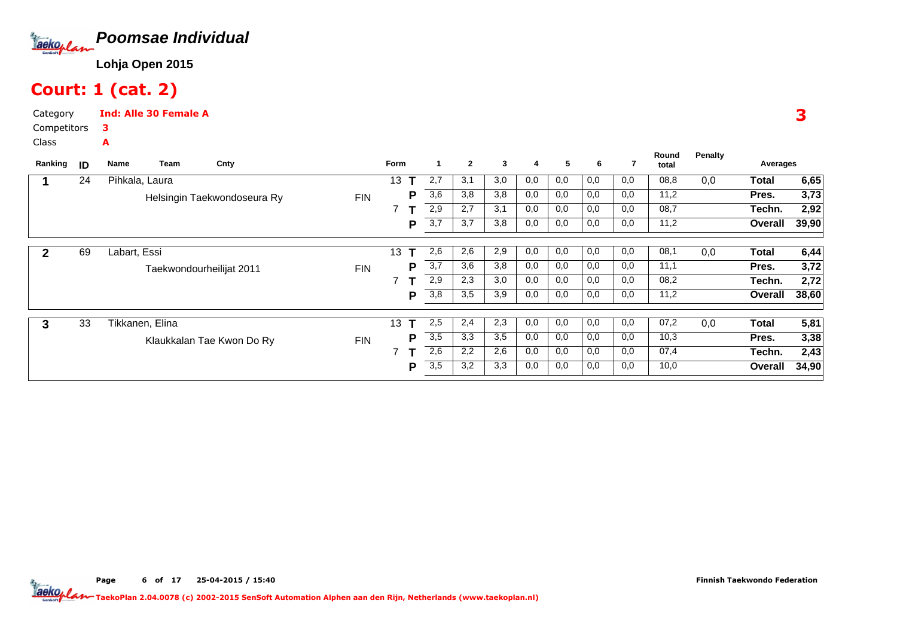

# Court: 1 (cat. 2)

A

Category CompetitorsInd: Alle 30 Female A3

Class

| Ranking | ID | Cnty<br>Team<br>Name        |            | Form            | -1               | $\overline{2}$ | 3   | 4   | 5   | 6   |     | Round<br>total | <b>Penalty</b> | Averages |       |
|---------|----|-----------------------------|------------|-----------------|------------------|----------------|-----|-----|-----|-----|-----|----------------|----------------|----------|-------|
|         | 24 | Pihkala, Laura              |            | 13              | 2,7              | 3,1            | 3,0 | 0,0 | 0,0 | 0,0 | 0,0 | 08,8           | 0,0            | Total    | 6,65  |
|         |    | Helsingin Taekwondoseura Ry | <b>FIN</b> | P               | 3,6              | 3,8            | 3,8 | 0,0 | 0,0 | 0,0 | 0,0 | 11,2           |                | Pres.    | 3,73  |
|         |    |                             |            |                 | 2,9              | 2,7            | 3,1 | 0,0 | 0,0 | 0,0 | 0,0 | 08,7           |                | Techn.   | 2,92  |
|         |    |                             |            | P               | 3,7              | 3,7            | 3,8 | 0,0 | 0,0 | 0,0 | 0,0 | 11,2           |                | Overall  | 39,90 |
|         | 69 | Labart, Essi                |            | 13 <sup>°</sup> | 2,6              | 2,6            | 2,9 | 0,0 | 0,0 | 0,0 | 0,0 | 08,1           | 0,0            | Total    | 6,44  |
|         |    | Taekwondourheilijat 2011    | <b>FIN</b> | P               | 3,7              | 3,6            | 3,8 | 0,0 | 0,0 | 0,0 | 0,0 | 11,1           |                | Pres.    | 3,72  |
|         |    |                             |            |                 | 2,9              | 2,3            | 3,0 | 0,0 | 0,0 | 0,0 | 0,0 | 08,2           |                | Techn.   | 2,72  |
|         |    |                             |            | Р               | 3,8              | 3,5            | 3,9 | 0,0 | 0,0 | 0,0 | 0,0 | 11,2           |                | Overall  | 38,60 |
| 3       | 33 | Tikkanen, Elina             |            | 13              | 2,5              | 2,4            | 2,3 | 0,0 | 0,0 | 0,0 | 0,0 | 07,2           | 0,0            | Total    | 5,81  |
|         |    | Klaukkalan Tae Kwon Do Ry   | <b>FIN</b> | D               | $\overline{3,5}$ | 3,3            | 3,5 | 0,0 | 0,0 | 0,0 | 0,0 | 10,3           |                | Pres.    | 3,38  |
|         |    |                             |            |                 | 2,6              | 2,2            | 2,6 | 0,0 | 0,0 | 0,0 | 0,0 | 07,4           |                | Techn.   | 2,43  |
|         |    |                             |            | P               | $\overline{3,5}$ | 3,2            | 3,3 | 0,0 | 0,0 | 0,0 | 0,0 | 10,0           |                | Overall  | 34,90 |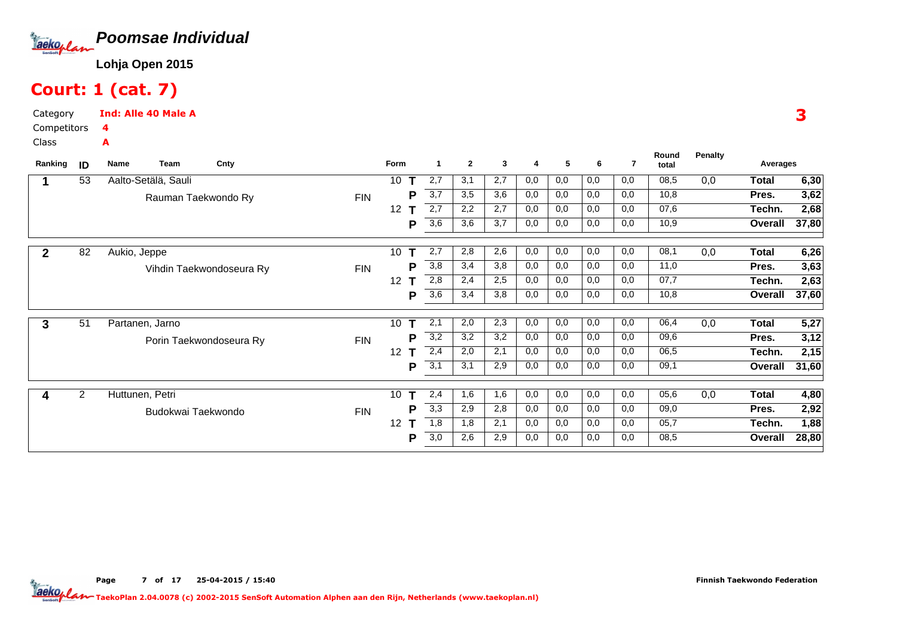

# Court: 1 (cat. 7)

Category CompetitorsInd: Alle 40 Male A4A

Class

| Ranking | ID             | Team<br>Name        | Cnty                     |            | Form            | -1  | $\overline{2}$ | 3   | 4   | 5   | 6   | 7   | Round<br>total | <b>Penalty</b> | Averages     |                    |
|---------|----------------|---------------------|--------------------------|------------|-----------------|-----|----------------|-----|-----|-----|-----|-----|----------------|----------------|--------------|--------------------|
|         | 53             | Aalto-Setälä, Sauli |                          |            | 10              | 2,7 | 3,1            | 2,7 | 0,0 | 0,0 | 0,0 | 0,0 | 08,5           | 0,0            | <b>Total</b> | 6,30               |
|         |                |                     | Rauman Taekwondo Ry      | <b>FIN</b> | Р               | 3,7 | 3,5            | 3,6 | 0,0 | 0,0 | 0,0 | 0,0 | 10,8           |                | Pres.        | 3,62               |
|         |                |                     |                          |            | 12              | 2,7 | 2,2            | 2,7 | 0,0 | 0,0 | 0,0 | 0,0 | 07,6           |                | Techn.       | 2,68               |
|         |                |                     |                          |            | Р               | 3,6 | 3,6            | 3,7 | 0,0 | 0,0 | 0,0 | 0,0 | 10,9           |                | Overall      | 37,80              |
| 2       | 82             | Aukio, Jeppe        |                          |            | 10              | 2,7 | 2,8            | 2,6 | 0,0 | 0,0 | 0,0 | 0,0 | 08,1           | 0,0            | <b>Total</b> | 6,26               |
|         |                |                     | Vihdin Taekwondoseura Ry | <b>FIN</b> | Р               | 3,8 | 3,4            | 3,8 | 0,0 | 0,0 | 0,0 | 0,0 | 11,0           |                | Pres.        | 3,63               |
|         |                |                     |                          |            | 12 <sup>2</sup> | 2,8 | 2,4            | 2,5 | 0,0 | 0,0 | 0,0 | 0,0 | 07,7           |                | Techn.       | 2,63               |
|         |                |                     |                          |            | Р               | 3,6 | 3,4            | 3,8 | 0,0 | 0,0 | 0,0 | 0,0 | 10,8           |                | Overall      | $\overline{37,60}$ |
| 3       | 51             | Partanen, Jarno     |                          |            | 10              | 2,1 | 2,0            | 2,3 | 0,0 | 0,0 | 0,0 | 0,0 | 06,4           | 0,0            | <b>Total</b> | 5,27               |
|         |                |                     | Porin Taekwondoseura Ry  | <b>FIN</b> | Р               | 3,2 | 3,2            | 3,2 | 0,0 | 0,0 | 0,0 | 0,0 | 09,6           |                | Pres.        | 3,12               |
|         |                |                     |                          |            | 12 <sup>2</sup> | 2,4 | 2,0            | 2,1 | 0,0 | 0,0 | 0,0 | 0,0 | 06,5           |                | Techn.       | 2,15               |
|         |                |                     |                          |            | Р               | 3,1 | 3,1            | 2,9 | 0,0 | 0,0 | 0,0 | 0,0 | 09,1           |                | Overall      | 31,60              |
| 4       | $\overline{2}$ | Huttunen, Petri     |                          |            | 10              | 2,4 | 1,6            | 1,6 | 0,0 | 0,0 | 0,0 | 0,0 | 05,6           | 0,0            | <b>Total</b> | 4,80               |
|         |                | Budokwai Taekwondo  |                          | FIN        | Р               | 3,3 | 2,9            | 2,8 | 0,0 | 0,0 | 0,0 | 0,0 | 09,0           |                | Pres.        | 2,92               |
|         |                |                     |                          |            | 12              | 1,8 | 1,8            | 2,1 | 0,0 | 0,0 | 0,0 | 0,0 | 05,7           |                | Techn.       | 1,88               |
|         |                |                     |                          |            | Р               | 3,0 | 2,6            | 2,9 | 0,0 | 0,0 | 0,0 | 0,0 | 08,5           |                | Overall      | 28,80              |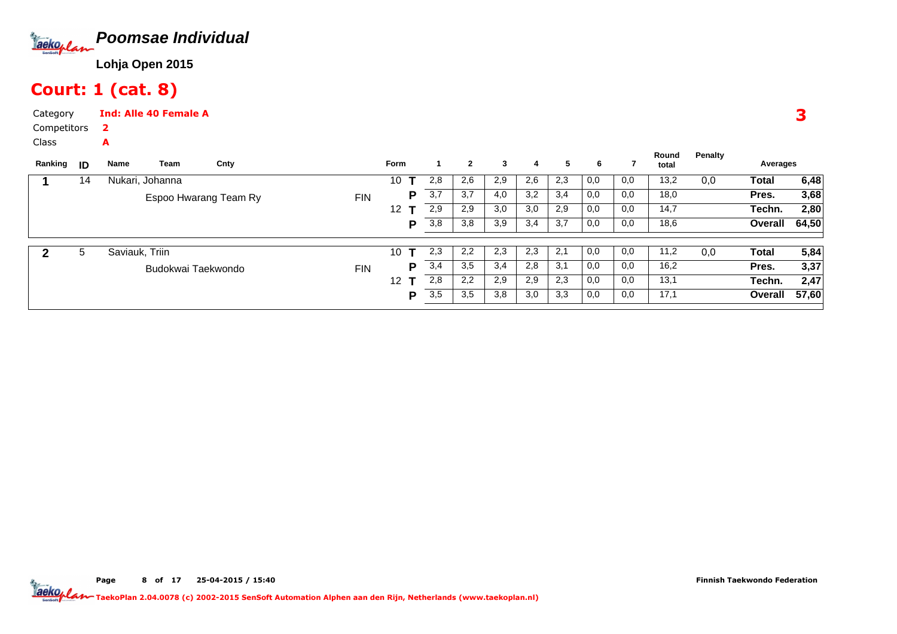

# Court: 1 (cat. 8)

A

Category CompetitorsInd: Alle 40 Female A2

Class

| Ranking | ID | Name            | Team               | Cnty                  |            | <b>Form</b> |     | $\mathbf{2}$ | 3   | 4   | 5   | 6   |     | Round<br>total | <b>Penalty</b> | Averages |       |
|---------|----|-----------------|--------------------|-----------------------|------------|-------------|-----|--------------|-----|-----|-----|-----|-----|----------------|----------------|----------|-------|
|         | 14 | Nukari, Johanna |                    |                       |            | 10          | 2,8 | 2,6          | 2,9 | 2,6 | 2,3 | 0,0 | 0,0 | 13,2           | 0,0            | Total    | 6,48  |
|         |    |                 |                    | Espoo Hwarang Team Ry | <b>FIN</b> | D           | 3,7 | 3,7          | 4,0 | 3,2 | 3,4 | 0,0 | 0,0 | 18,0           |                | Pres.    | 3,68  |
|         |    |                 |                    |                       |            | 12          | 2,9 | 2,9          | 3,0 | 3,0 | 2,9 | 0,0 | 0,0 | 14,7           |                | Techn.   | 2,80  |
|         |    |                 |                    |                       |            | P           | 3,8 | 3,8          | 3,9 | 3,4 | 3,7 | 0,0 | 0,0 | 18,6           |                | Overall  | 64,50 |
|         |    |                 |                    |                       |            |             |     |              |     |     |     |     |     |                |                |          |       |
| 2       | 5  | Saviauk, Triin  |                    |                       |            | 10          | 2,3 | 2,2          | 2,3 | 2,3 | 2,1 | 0,0 | 0,0 | 11,2           | 0,0            | Total    | 5,84  |
|         |    |                 | Budokwai Taekwondo |                       | <b>FIN</b> | P           | 3,4 | 3,5          | 3,4 | 2,8 | 3,1 | 0,0 | 0,0 | 16,2           |                | Pres.    | 3,37  |
|         |    |                 |                    |                       |            | 12          | 2,8 | 2,2          | 2,9 | 2,9 | 2,3 | 0,0 | 0,0 | 13,1           |                | Techn.   | 2,47  |
|         |    |                 |                    |                       |            | Þ           | 3,5 | 3,5          | 3,8 | 3,0 | 3,3 | 0,0 | 0,0 | 17,1           |                | Overall  | 57,60 |
|         |    |                 |                    |                       |            |             |     |              |     |     |     |     |     |                |                |          |       |

3

Page 8 of 17 25-04-2015 / 15:40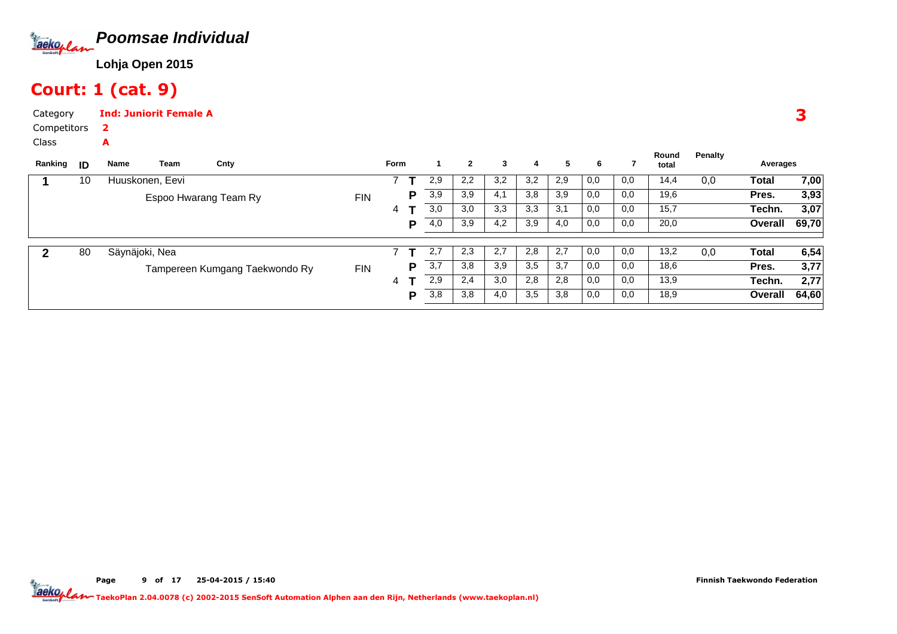

### Court: 1 (cat. 9)

A

CategoryInd: Juniorit Female A2

Competitors

Class

| Ranking | ID | Name            | Team                  | Cnty                           |            | Form |   |     | $\mathbf{2}$ | 3   | 4   | 5   | 6   |     | Round<br>total | Penalty | Averages |       |
|---------|----|-----------------|-----------------------|--------------------------------|------------|------|---|-----|--------------|-----|-----|-----|-----|-----|----------------|---------|----------|-------|
|         | 10 | Huuskonen, Eevi |                       |                                |            |      |   | 2,9 | 2,2          | 3,2 | 3,2 | 2,9 | 0,0 | 0,0 | 14,4           | 0,0     | Total    | 7,00  |
|         |    |                 | Espoo Hwarang Team Ry |                                | <b>FIN</b> |      | P | 3,9 | 3,9          | 4,1 | 3,8 | 3,9 | 0,0 | 0,0 | 19,6           |         | Pres.    | 3,93  |
|         |    |                 |                       |                                |            | 4    |   | 3,0 | 3,0          | 3,3 | 3,3 | 3,1 | 0,0 | 0,0 | 15,7           |         | Techn.   | 3,07  |
|         |    |                 |                       |                                |            |      | D | 4,0 | 3,9          | 4,2 | 3,9 | 4,0 | 0,0 | 0,0 | 20,0           |         | Overall  | 69,70 |
|         |    |                 |                       |                                |            |      |   |     |              |     |     |     |     |     |                |         |          |       |
|         | 80 | Säynäjoki, Nea  |                       |                                |            |      |   | 2,7 | 2,3          | 2,7 | 2,8 | 2,7 | 0,0 | 0,0 | 13,2           | 0,0     | Total    | 6,54  |
|         |    |                 |                       | Tampereen Kumgang Taekwondo Ry | <b>FIN</b> |      | P | 3,7 | 3,8          | 3,9 | 3,5 | 3,7 | 0,0 | 0,0 | 18,6           |         | Pres.    | 3,77  |
|         |    |                 |                       |                                |            | 4    |   | 2,9 | 2,4          | 3,0 | 2,8 | 2,8 | 0,0 | 0,0 | 13,9           |         | Techn.   | 2,77  |
|         |    |                 |                       |                                |            |      | P | 3,8 | 3,8          | 4,0 | 3,5 | 3,8 | 0,0 | 0,0 | 18,9           |         | Overall  | 64,60 |
|         |    |                 |                       |                                |            |      |   |     |              |     |     |     |     |     |                |         |          |       |

Page 9 of 17 25-04-2015 / 15:40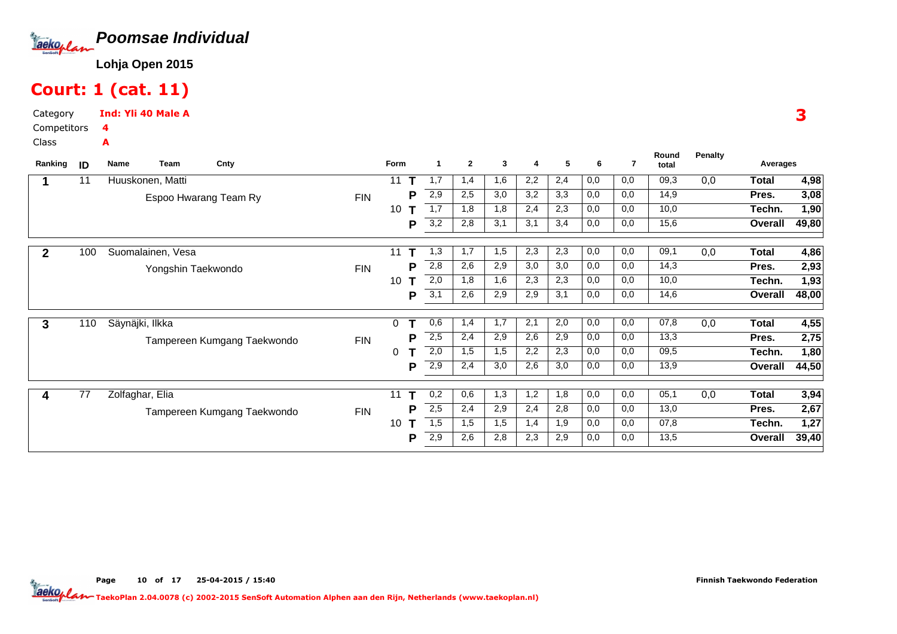

# Court: 1 (cat. 11)

Category CompetitorsInd: Yli 40 Male A4A

Class

| Ranking      | ID  | <b>Name</b>     | Team               | Cnty                        |            | Form        | 1        | $\mathbf{2}$ | 3   | 4   | 5   | 6   | 7   | Round<br>total | <b>Penalty</b> | Averages     |       |
|--------------|-----|-----------------|--------------------|-----------------------------|------------|-------------|----------|--------------|-----|-----|-----|-----|-----|----------------|----------------|--------------|-------|
|              | 11  |                 | Huuskonen, Matti   |                             |            | 11          | 1,7      | 1,4          | 1,6 | 2,2 | 2,4 | 0,0 | 0,0 | 09,3           | 0,0            | <b>Total</b> | 4,98  |
|              |     |                 |                    | Espoo Hwarang Team Ry       | <b>FIN</b> |             | 2,9<br>Р | 2,5          | 3,0 | 3,2 | 3,3 | 0,0 | 0,0 | 14,9           |                | Pres.        | 3,08  |
|              |     |                 |                    |                             |            | 10          | 1,7      | 1,8          | 1,8 | 2,4 | 2,3 | 0,0 | 0,0 | 10,0           |                | Techn.       | 1,90  |
|              |     |                 |                    |                             |            |             | 3,2<br>Р | 2,8          | 3,1 | 3,1 | 3,4 | 0,0 | 0,0 | 15,6           |                | Overall      | 49,80 |
| $\mathbf{2}$ | 100 |                 | Suomalainen, Vesa  |                             |            | 11          | 1,3      | 1,7          | 1,5 | 2,3 | 2,3 | 0,0 | 0,0 | 09,1           | 0,0            | <b>Total</b> | 4,86  |
|              |     |                 | Yongshin Taekwondo |                             | <b>FIN</b> |             | 2,8<br>Р | 2,6          | 2,9 | 3,0 | 3,0 | 0,0 | 0,0 | 14,3           |                | Pres.        | 2,93  |
|              |     |                 |                    |                             |            | 10          | 2,0      | 1,8          | 1,6 | 2,3 | 2,3 | 0,0 | 0,0 | 10,0           |                | Techn.       | 1,93  |
|              |     |                 |                    |                             |            |             | 3,1<br>Ρ | 2,6          | 2,9 | 2,9 | 3,1 | 0,0 | 0,0 | 14,6           |                | Overall      | 48,00 |
| $\mathbf{3}$ | 110 | Säynäjki, Ilkka |                    |                             |            | $\mathbf 0$ | 0,6      | 1,4          | 1,7 | 2,1 | 2,0 | 0,0 | 0,0 | 07,8           | 0,0            | <b>Total</b> | 4,55  |
|              |     |                 |                    | Tampereen Kumgang Taekwondo | <b>FIN</b> |             | 2,5<br>Р | 2,4          | 2,9 | 2,6 | 2,9 | 0,0 | 0,0 | 13,3           |                | Pres.        | 2,75  |
|              |     |                 |                    |                             |            | 0           | 2,0      | 1,5          | 1,5 | 2,2 | 2,3 | 0,0 | 0,0 | 09,5           |                | Techn.       | 1,80  |
|              |     |                 |                    |                             |            |             | 2,9<br>P | 2,4          | 3,0 | 2,6 | 3,0 | 0,0 | 0,0 | 13,9           |                | Overall      | 44,50 |
| 4            | 77  |                 | Zolfaghar, Elia    |                             |            | 11<br>т     | 0,2      | 0,6          | 1,3 | 1,2 | 1,8 | 0,0 | 0,0 | 05,1           | 0,0            | <b>Total</b> | 3,94  |
|              |     |                 |                    | Tampereen Kumgang Taekwondo | <b>FIN</b> |             | 2,5<br>Р | 2,4          | 2,9 | 2,4 | 2,8 | 0,0 | 0,0 | 13,0           |                | Pres.        | 2,67  |
|              |     |                 |                    |                             |            | 10          | 1,5      | 1,5          | 1,5 | 1,4 | 1,9 | 0,0 | 0,0 | 07,8           |                | Techn.       | 1,27  |
|              |     |                 |                    |                             |            |             | 2,9<br>Р | 2,6          | 2,8 | 2,3 | 2,9 | 0,0 | 0,0 | 13,5           |                | Overall      | 39,40 |

Finnish Taekwondo Federation

TaekoPlan 2.04.0078 (c) 2002-2015 SenSoft Automation Alphen aan den Rijn, Netherlands (www.taekoplan.nl)

3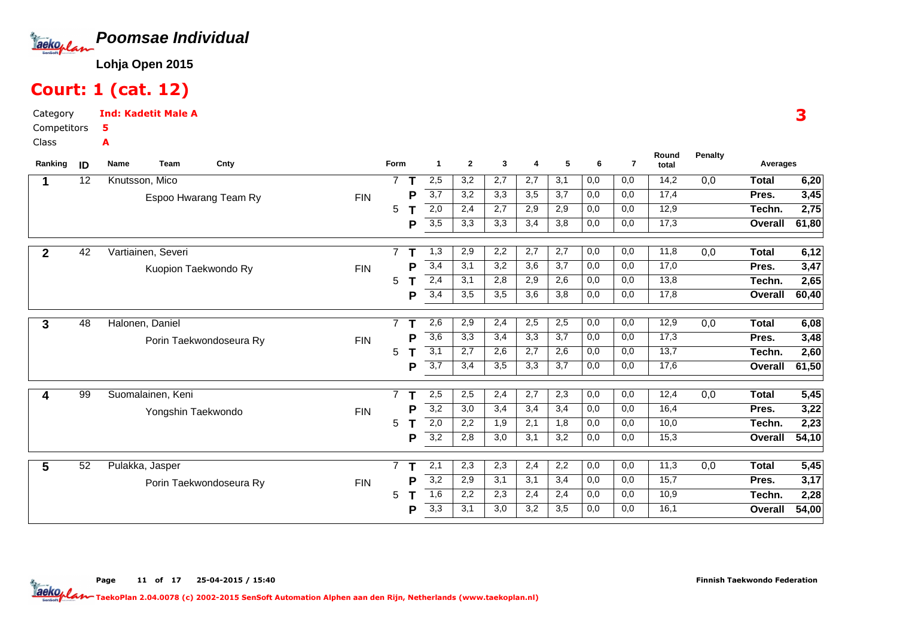

# Court: 1 (cat. 12)

Category CompetitorsClassInd: Kadetit Male A5A

| Ranking     | ID | <b>Team</b><br>Cnty<br>Name |            | Form           |   | -1               | $\mathbf{2}$ | 3   | 4                | 5   | 6   | $\overline{7}$ | Round<br>total | <b>Penalty</b> | Averages     |                   |
|-------------|----|-----------------------------|------------|----------------|---|------------------|--------------|-----|------------------|-----|-----|----------------|----------------|----------------|--------------|-------------------|
| 1           | 12 | Knutsson, Mico              |            | $\overline{7}$ |   | 2,5              | 3,2          | 2,7 | 2,7              | 3,1 | 0,0 | 0,0            | 14,2           | 0,0            | <b>Total</b> | 6,20              |
|             |    | Espoo Hwarang Team Ry       | <b>FIN</b> |                | P | 3,7              | 3,2          | 3,3 | 3,5              | 3,7 | 0,0 | 0,0            | 17,4           |                | Pres.        | 3,45              |
|             |    |                             |            | 5              |   | 2,0              | 2,4          | 2,7 | 2,9              | 2,9 | 0,0 | 0,0            | 12,9           |                | Techn.       | 2,75              |
|             |    |                             |            |                | P | 3,5              | 3,3          | 3,3 | 3,4              | 3,8 | 0,0 | 0,0            | 17,3           |                | Overall      | 61,80             |
| $\mathbf 2$ | 42 | Vartiainen, Severi          |            |                |   | 1,3              | 2,9          | 2,2 | 2,7              | 2,7 | 0,0 | 0,0            | 11,8           | 0,0            | <b>Total</b> | 6,12              |
|             |    | Kuopion Taekwondo Ry        | <b>FIN</b> |                |   | 3,4              | 3,1          | 3,2 | $\overline{3,6}$ | 3,7 | 0,0 | 0,0            | 17,0           |                | Pres.        | 3,47              |
|             |    |                             |            | 5              |   | 2,4              | 3,1          | 2,8 | 2,9              | 2,6 | 0,0 | 0,0            | 13,8           |                | Techn.       | 2,65              |
|             |    |                             |            |                | D | 3,4              | 3,5          | 3,5 | 3,6              | 3,8 | 0,0 | 0,0            | 17,8           |                | Overall      | 60,40             |
| 3           | 48 | Halonen, Daniel             |            | $\overline{7}$ |   | 2,6              | 2,9          | 2,4 | 2,5              | 2,5 | 0,0 | 0,0            | 12,9           | 0,0            | <b>Total</b> | 6,08              |
|             |    | Porin Taekwondoseura Ry     | <b>FIN</b> |                | D | 3,6              | 3,3          | 3,4 | 3,3              | 3,7 | 0,0 | 0,0            | 17,3           |                | Pres.        | 3,48              |
|             |    |                             |            | 5              |   | $\overline{3,1}$ | 2,7          | 2,6 | 2,7              | 2,6 | 0,0 | 0,0            | 13,7           |                | Techn.       | $\overline{2,60}$ |
|             |    |                             |            |                | Р | $\overline{3,7}$ | 3,4          | 3,5 | 3,3              | 3,7 | 0,0 | 0,0            | 17,6           |                | Overall      | 61,50             |
| 4           | 99 | Suomalainen, Keni           |            | $\overline{7}$ |   | 2,5              | 2,5          | 2,4 | 2,7              | 2,3 | 0,0 | 0,0            | 12,4           | 0,0            | Total        | 5,45              |
|             |    | Yongshin Taekwondo          | <b>FIN</b> |                | Р | $\overline{3,2}$ | 3,0          | 3,4 | 3,4              | 3,4 | 0,0 | 0,0            | 16,4           |                | Pres.        | 3,22              |
|             |    |                             |            | 5              |   | 2,0              | 2,2          | 1,9 | 2,1              | 1,8 | 0,0 | 0,0            | 10,0           |                | Techn.       | 2,23              |
|             |    |                             |            |                | P | 3,2              | 2,8          | 3,0 | 3,1              | 3,2 | 0,0 | 0,0            | 15,3           |                | Overall      | 54,10             |
| 5           | 52 | Pulakka, Jasper             |            | $\overline{7}$ |   | 2,1              | 2,3          | 2,3 | 2,4              | 2,2 | 0,0 | 0,0            | 11,3           | 0,0            | <b>Total</b> | 5,45              |
|             |    | Porin Taekwondoseura Ry     | <b>FIN</b> |                | P | $\overline{3,2}$ | 2,9          | 3,1 | 3,1              | 3,4 | 0,0 | 0,0            | 15,7           |                | Pres.        | 3,17              |
|             |    |                             |            | 5              |   | 1,6              | 2,2          | 2,3 | 2,4              | 2,4 | 0,0 | 0,0            | 10,9           |                | Techn.       | 2,28              |
|             |    |                             |            |                | P | 3,3              | 3,1          | 3,0 | 3,2              | 3,5 | 0,0 | 0,0            | 16,1           |                | Overall      | 54,00             |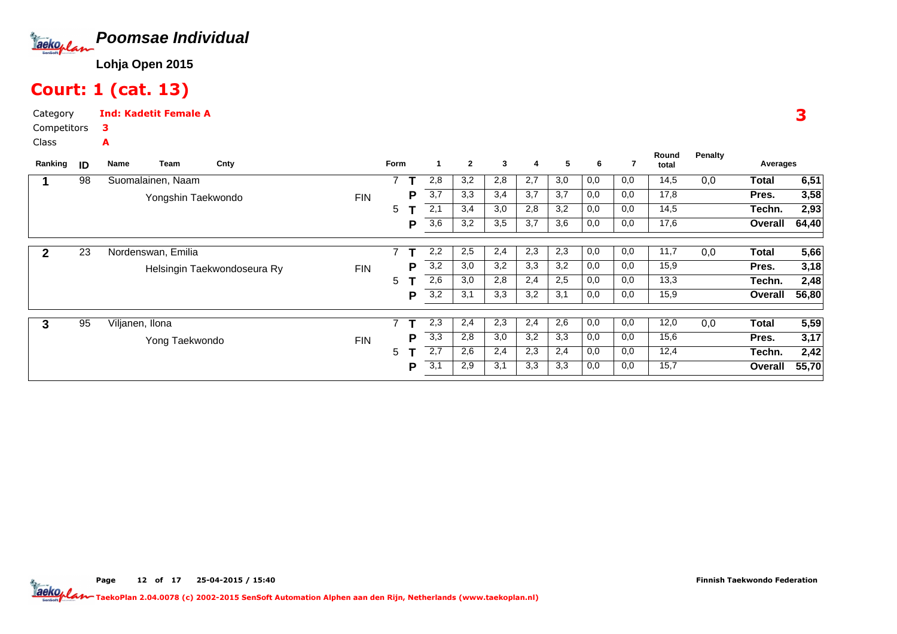

# Court: 1 (cat. 13)

Category CompetitorsInd: Kadetit Female A3A

Class

| ID | Name | Cnty                                                               |                                                                     |            |   |                  | $\overline{2}$ | 3   | 4   | 5   | 6   |     | Round<br>total | <b>Penalty</b> | Averages |       |
|----|------|--------------------------------------------------------------------|---------------------------------------------------------------------|------------|---|------------------|----------------|-----|-----|-----|-----|-----|----------------|----------------|----------|-------|
| 98 |      |                                                                    |                                                                     |            |   | 2,8              | 3,2            | 2,8 | 2,7 | 3,0 | 0,0 | 0,0 | 14,5           | 0,0            | Total    | 6,51  |
|    |      |                                                                    | <b>FIN</b>                                                          |            | P | $\overline{3,7}$ | 3,3            | 3,4 | 3,7 | 3,7 | 0,0 | 0,0 | 17,8           |                | Pres.    | 3,58  |
|    |      |                                                                    |                                                                     | 5          |   | 2,1              | 3,4            | 3,0 | 2,8 | 3,2 | 0,0 | 0,0 | 14,5           |                | Techn.   | 2,93  |
|    |      |                                                                    |                                                                     |            | P | 3,6              | 3,2            | 3,5 | 3,7 | 3,6 | 0,0 | 0,0 | 17,6           |                | Overall  | 64,40 |
| 23 |      |                                                                    |                                                                     |            |   | 2,2              | 2,5            | 2,4 | 2,3 | 2,3 | 0,0 | 0,0 | 11,7           | 0,0            | Total    | 5,66  |
|    |      |                                                                    |                                                                     |            | D | 3,2              | 3,0            | 3,2 | 3,3 | 3,2 | 0,0 | 0,0 | 15,9           |                | Pres.    | 3,18  |
|    |      |                                                                    |                                                                     | 5          |   | 2,6              | 3,0            | 2,8 | 2,4 | 2,5 | 0,0 | 0,0 | 13,3           |                | Techn.   | 2,48  |
|    |      |                                                                    |                                                                     |            | Р | 3,2              | 3,1            | 3,3 | 3,2 | 3,1 | 0,0 | 0,0 | 15,9           |                | Overall  | 56,80 |
| 95 |      |                                                                    |                                                                     | 7          |   | 2,3              | 2.4            | 2,3 | 2,4 | 2,6 | 0,0 | 0,0 | 12,0           | 0,0            | Total    | 5,59  |
|    |      |                                                                    | <b>FIN</b>                                                          |            | D | 3,3              | 2,8            | 3,0 | 3,2 | 3,3 | 0,0 | 0,0 | 15,6           |                | Pres.    | 3,17  |
|    |      |                                                                    |                                                                     | 5          |   | 2,7              | 2,6            | 2,4 | 2,3 | 2,4 | 0,0 | 0,0 | 12,4           |                | Techn.   | 2,42  |
|    |      |                                                                    |                                                                     |            | P | 3,1              | 2,9            | 3,1 | 3,3 | 3,3 | 0,0 | 0,0 | 15,7           |                | Overall  | 55,70 |
|    |      | Team<br>Suomalainen, Naam<br>Nordenswan, Emilia<br>Viljanen, Ilona | Yongshin Taekwondo<br>Helsingin Taekwondoseura Ry<br>Yong Taekwondo | <b>FIN</b> |   | Form             |                |     |     |     |     |     |                |                |          |       |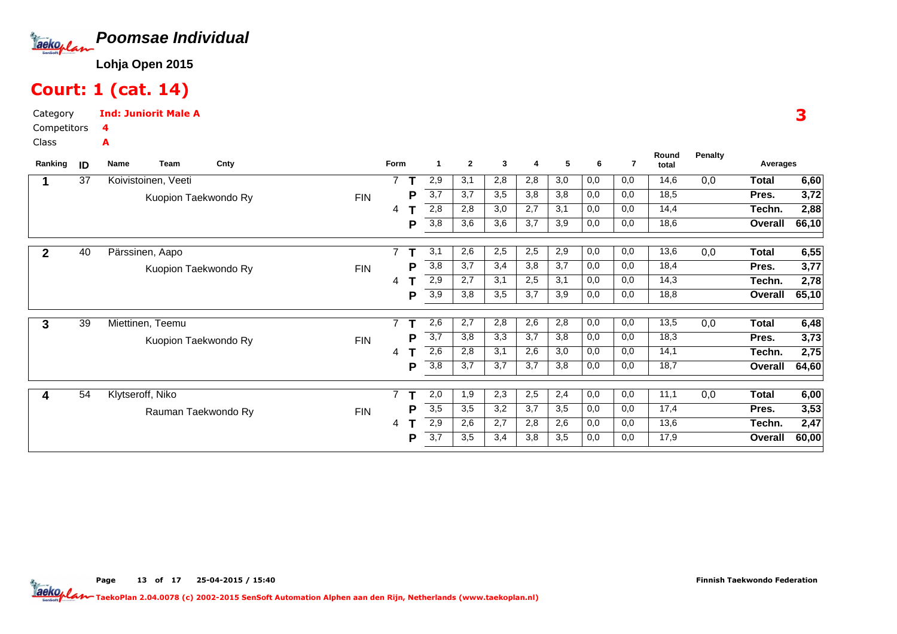

# Court: 1 (cat. 14)

Category CompetitorsInd: Juniorit Male A4A

Class

| Ranking      | ID | Name | Team                | Cnty                 |            | Form           |   | $\mathbf{1}$ | $\mathbf{2}$ | 3   | 4   | 5   | 6   | 7   | Round<br>total | <b>Penalty</b> | Averages     |       |
|--------------|----|------|---------------------|----------------------|------------|----------------|---|--------------|--------------|-----|-----|-----|-----|-----|----------------|----------------|--------------|-------|
|              | 37 |      | Koivistoinen, Veeti |                      |            | $\overline{ }$ |   | 2,9          | 3,1          | 2,8 | 2,8 | 3,0 | 0,0 | 0,0 | 14,6           | 0,0            | <b>Total</b> | 6,60  |
|              |    |      |                     | Kuopion Taekwondo Ry | <b>FIN</b> |                | P | 3,7          | 3,7          | 3,5 | 3,8 | 3,8 | 0,0 | 0,0 | 18,5           |                | Pres.        | 3,72  |
|              |    |      |                     |                      |            | 4              |   | 2,8          | 2,8          | 3,0 | 2,7 | 3,1 | 0,0 | 0,0 | 14,4           |                | Techn.       | 2,88  |
|              |    |      |                     |                      |            |                | Р | 3,8          | 3,6          | 3,6 | 3,7 | 3,9 | 0,0 | 0,0 | 18,6           |                | Overall      | 66,10 |
| $\mathbf{2}$ | 40 |      | Pärssinen, Aapo     |                      |            | $\overline{ }$ |   | 3,1          | 2,6          | 2,5 | 2,5 | 2,9 | 0,0 | 0,0 | 13,6           | 0,0            | Total        | 6,55  |
|              |    |      |                     | Kuopion Taekwondo Ry | <b>FIN</b> |                | P | 3,8          | 3,7          | 3,4 | 3,8 | 3,7 | 0,0 | 0,0 | 18,4           |                | Pres.        | 3,77  |
|              |    |      |                     |                      |            | 4              |   | 2,9          | 2,7          | 3,1 | 2,5 | 3,1 | 0,0 | 0,0 | 14,3           |                | Techn.       | 2,78  |
|              |    |      |                     |                      |            |                | Р | 3,9          | 3,8          | 3,5 | 3,7 | 3,9 | 0,0 | 0,0 | 18,8           |                | Overall      | 65,10 |
| 3            | 39 |      | Miettinen, Teemu    |                      |            | $\overline{7}$ |   | 2,6          | 2,7          | 2,8 | 2,6 | 2,8 | 0,0 | 0,0 | 13,5           | 0,0            | Total        | 6,48  |
|              |    |      |                     | Kuopion Taekwondo Ry | <b>FIN</b> |                | P | 3,7          | 3,8          | 3,3 | 3,7 | 3,8 | 0,0 | 0,0 | 18,3           |                | Pres.        | 3,73  |
|              |    |      |                     |                      |            | 4              |   | 2,6          | 2,8          | 3,1 | 2,6 | 3,0 | 0,0 | 0,0 | 14,1           |                | Techn.       | 2,75  |
|              |    |      |                     |                      |            |                | P | 3,8          | 3,7          | 3,7 | 3,7 | 3,8 | 0,0 | 0,0 | 18,7           |                | Overall      | 64,60 |
|              | 54 |      | Klytseroff, Niko    |                      |            | $\overline{ }$ |   | 2,0          | 1,9          | 2,3 | 2,5 | 2,4 | 0,0 | 0,0 | 11,1           | 0,0            | Total        | 6,00  |
|              |    |      |                     | Rauman Taekwondo Ry  | <b>FIN</b> |                | P | 3,5          | 3,5          | 3,2 | 3,7 | 3,5 | 0,0 | 0,0 | 17,4           |                | Pres.        | 3,53  |
|              |    |      |                     |                      |            | 4              |   | 2,9          | 2,6          | 2,7 | 2,8 | 2,6 | 0,0 | 0,0 | 13,6           |                | Techn.       | 2,47  |
|              |    |      |                     |                      |            |                | P | 3,7          | 3,5          | 3,4 | 3,8 | 3,5 | 0,0 | 0,0 | 17,9           |                | Overall      | 60,00 |
|              |    |      |                     |                      |            |                |   |              |              |     |     |     |     |     |                |                |              |       |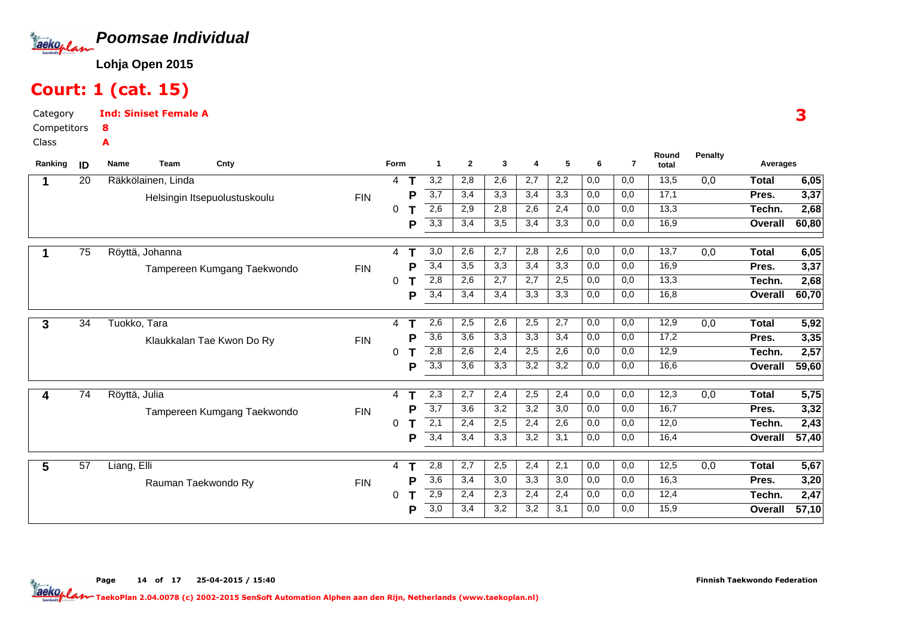

### Court: 1 (cat. 15)

Category CompetitorsInd: Siniset Female A8A

Class

| Ranking | ID | <b>Name</b><br>Team | Cnty                         |            | <b>Form</b> |   | -1               | $\overline{2}$ | 3   | 4   | 5                | 6   | $\overline{7}$ | Round<br>total | Penalty | Averages       |       |
|---------|----|---------------------|------------------------------|------------|-------------|---|------------------|----------------|-----|-----|------------------|-----|----------------|----------------|---------|----------------|-------|
|         | 20 | Räkkölainen, Linda  |                              |            | 4           |   | 3,2              | 2,8            | 2,6 | 2,7 | 2,2              | 0,0 | 0,0            | 13,5           | 0,0     | <b>Total</b>   | 6,05  |
|         |    |                     | Helsingin Itsepuolustuskoulu | <b>FIN</b> |             | Р | 3,7              | 3,4            | 3,3 | 3,4 | 3,3              | 0,0 | 0,0            | 17,1           |         | Pres.          | 3,37  |
|         |    |                     |                              |            | 0           |   | 2,6              | 2,9            | 2,8 | 2,6 | 2,4              | 0,0 | 0,0            | 13,3           |         | Techn.         | 2,68  |
|         |    |                     |                              |            |             | Р | 3,3              | 3,4            | 3,5 | 3,4 | 3,3              | 0,0 | 0,0            | 16,9           |         | Overall        | 60,80 |
|         | 75 | Röyttä, Johanna     |                              |            | 4           | Ŧ | 3,0              | 2,6            | 2,7 | 2,8 | 2,6              | 0,0 | 0,0            | 13,7           | 0,0     | <b>Total</b>   | 6,05  |
|         |    |                     | Tampereen Kumgang Taekwondo  | <b>FIN</b> |             | P | 3,4              | 3,5            | 3,3 | 3,4 | 3,3              | 0,0 | 0,0            | 16,9           |         | Pres.          | 3,37  |
|         |    |                     |                              |            | 0           |   | 2,8              | 2,6            | 2,7 | 2,7 | 2,5              | 0,0 | 0,0            | 13,3           |         | Techn.         | 2,68  |
|         |    |                     |                              |            |             | Р | 3,4              | 3,4            | 3,4 | 3,3 | 3,3              | 0,0 | 0,0            | 16,8           |         | <b>Overall</b> | 60,70 |
| 3       | 34 | Tuokko, Tara        |                              |            | 4           |   | 2,6              | 2,5            | 2,6 | 2,5 | 2,7              | 0,0 | 0,0            | 12,9           | 0,0     | <b>Total</b>   | 5,92  |
|         |    |                     | Klaukkalan Tae Kwon Do Ry    | <b>FIN</b> |             | P | $\overline{3,6}$ | 3,6            | 3,3 | 3,3 | 3,4              | 0,0 | 0,0            | 17,2           |         | Pres.          | 3,35  |
|         |    |                     |                              |            | 0           |   | 2,8              | 2,6            | 2,4 | 2,5 | 2,6              | 0,0 | 0,0            | 12,9           |         | Techn.         | 2,57  |
|         |    |                     |                              |            |             | Р | 3,3              | 3,6            | 3,3 | 3,2 | $\overline{3,2}$ | 0,0 | 0,0            | 16,6           |         | Overall        | 59,60 |
| 4       | 74 | Röyttä, Julia       |                              |            | 4           |   | 2,3              | 2,7            | 2,4 | 2,5 | 2,4              | 0,0 | 0,0            | 12,3           | 0,0     | <b>Total</b>   | 5,75  |
|         |    |                     | Tampereen Kumgang Taekwondo  | <b>FIN</b> |             | Р | 3,7              | 3,6            | 3,2 | 3,2 | 3,0              | 0,0 | 0,0            | 16,7           |         | Pres.          | 3,32  |
|         |    |                     |                              |            | 0           |   | $\overline{2,1}$ | 2,4            | 2,5 | 2,4 | 2,6              | 0,0 | 0,0            | 12,0           |         | Techn.         | 2,43  |
|         |    |                     |                              |            |             | Р | 3,4              | 3,4            | 3,3 | 3,2 | 3,1              | 0,0 | 0,0            | 16,4           |         | Overall        | 57,40 |
| 5       | 57 | Liang, Elli         |                              |            | 4           |   | 2,8              | 2,7            | 2,5 | 2,4 | 2,1              | 0,0 | 0,0            | 12,5           | 0,0     | <b>Total</b>   | 5,67  |
|         |    |                     | Rauman Taekwondo Ry          | <b>FIN</b> |             | P | 3,6              | 3,4            | 3,0 | 3,3 | 3,0              | 0,0 | 0,0            | 16,3           |         | Pres.          | 3,20  |
|         |    |                     |                              |            | 0           |   | 2,9              | 2,4            | 2,3 | 2,4 | 2,4              | 0,0 | 0,0            | 12,4           |         | Techn.         | 2,47  |
|         |    |                     |                              |            |             | Р | 3,0              | 3,4            | 3,2 | 3,2 | 3,1              | 0,0 | 0,0            | 15,9           |         | Overall        | 57,10 |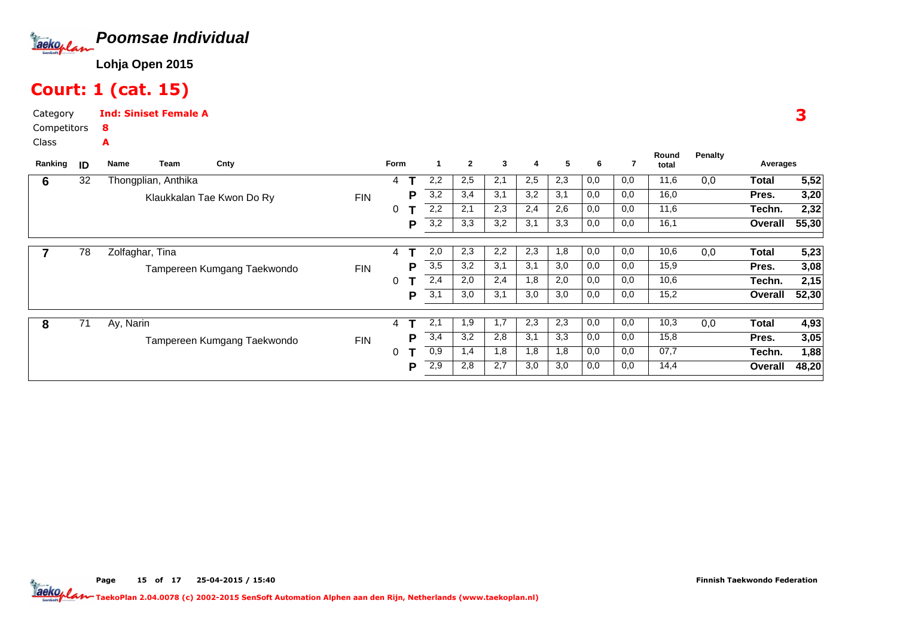

### Court: 1 (cat. 15)

A

Category CompetitorsInd: Siniset Female A8

Class

| Ranking | ID | Team<br>Name        | Cnty                        |            | Form |     |     | $\mathbf{2}$ | 3   | 4   | 5   | 6   | 7    | Round<br>total | Penalty | Averages |       |
|---------|----|---------------------|-----------------------------|------------|------|-----|-----|--------------|-----|-----|-----|-----|------|----------------|---------|----------|-------|
| 6       | 32 | Thongplian, Anthika |                             |            | 4    |     | 2,2 | 2,5          | 2,1 | 2,5 | 2,3 | 0,0 | 0,0  | 11,6           | 0,0     | Total    | 5,52  |
|         |    |                     | Klaukkalan Tae Kwon Do Ry   | <b>FIN</b> |      | P   | 3,2 | 3,4          | 3,1 | 3,2 | 3,1 | 0,0 | 0,0  | 16,0           |         | Pres.    | 3,20  |
|         |    |                     |                             |            | 0    |     | 2,2 | 2,1          | 2,3 | 2,4 | 2,6 | 0,0 | 0,0  | 11,6           |         | Techn.   | 2,32  |
|         |    |                     |                             |            |      | P   | 3,2 | 3,3          | 3,2 | 3,1 | 3,3 | 0,0 | 0,0  | 16,1           |         | Overall  | 55,30 |
|         | 78 | Zolfaghar, Tina     |                             |            | 4    |     | 2,0 | 2,3          | 2,2 | 2,3 | 1,8 | 0,0 | 0,0  | 10,6           | 0,0     | Total    | 5,23  |
|         |    |                     | Tampereen Kumgang Taekwondo | <b>FIN</b> |      | P   | 3,5 | 3,2          | 3,1 | 3,1 | 3,0 | 0,0 | 0,0  | 15,9           |         | Pres.    | 3,08  |
|         |    |                     |                             |            | 0    |     | 2,4 | 2,0          | 2,4 | 1,8 | 2,0 | 0,0 | 0,0  | 10,6           |         | Techn.   | 2,15  |
|         |    |                     |                             |            |      | Р   | 3,1 | 3,0          | 3,1 | 3,0 | 3,0 | 0,0 | 0,0  | 15,2           |         | Overall  | 52,30 |
|         |    |                     |                             |            |      |     |     |              |     |     |     |     |      |                |         |          |       |
| 8       | 71 | Ay, Narin           |                             |            | 4    |     | 2.1 | 1,9          | 1,7 | 2,3 | 2,3 | 0,0 | 0,0  | 10,3           | 0,0     | Total    | 4,93  |
|         |    |                     | Tampereen Kumgang Taekwondo | <b>FIN</b> |      | Р   | 3,4 | 3,2          | 2,8 | 3,1 | 3,3 | 0,0 | 0,0  | 15,8           |         | Pres.    | 3,05  |
|         |    |                     |                             |            | 0    |     | 0,9 | 1,4          | 1,8 | 1,8 | 1,8 | 0,0 | 0,0  | 07,7           |         | Techn.   | 1,88  |
|         |    |                     |                             |            | P    | 2,9 | 2,8 | 2,7          | 3,0 | 3,0 | 0,0 | 0,0 | 14,4 |                | Overall | 48,20    |       |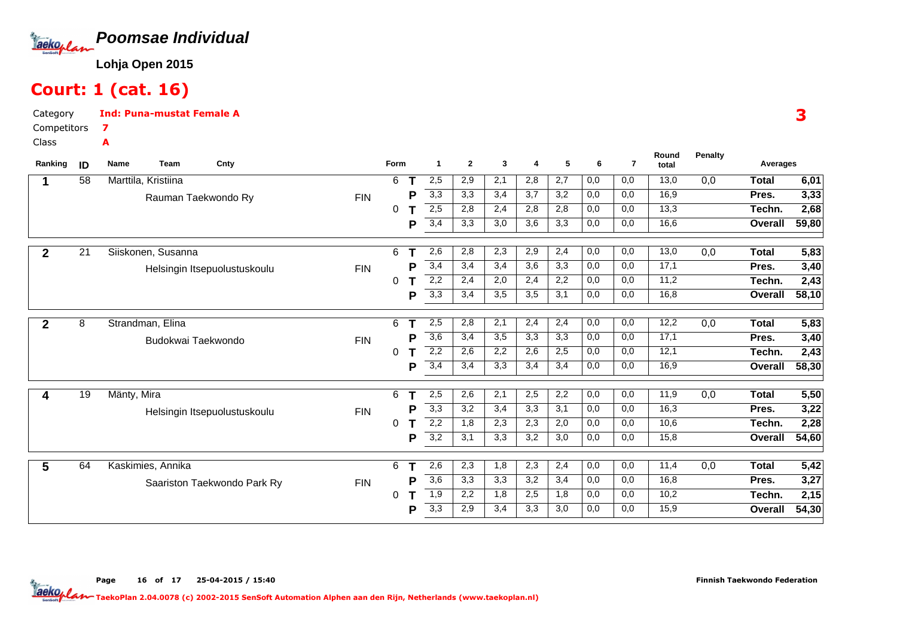

### Court: 1 (cat. 16)

7A

CategoryInd: Puna-mustat Female A

Competitors

Class

| Ranking      | ID | Name<br><b>Team</b><br>Cnty  |            | Form     |   | 1                | $\mathbf{2}$ | 3   | 4   | 5   | 6   | $\overline{7}$ | Round<br>total | <b>Penalty</b>   | Averages     |       |
|--------------|----|------------------------------|------------|----------|---|------------------|--------------|-----|-----|-----|-----|----------------|----------------|------------------|--------------|-------|
| 1            | 58 | Marttila, Kristiina          |            | 6        |   | 2,5              | 2,9          | 2,1 | 2,8 | 2,7 | 0,0 | 0,0            | 13,0           | 0,0              | <b>Total</b> | 6,01  |
|              |    | Rauman Taekwondo Ry          | <b>FIN</b> |          | P | 3,3              | 3,3          | 3,4 | 3,7 | 3,2 | 0,0 | 0,0            | 16,9           |                  | Pres.        | 3,33  |
|              |    |                              |            | $\Omega$ |   | 2,5              | 2,8          | 2,4 | 2,8 | 2,8 | 0,0 | 0,0            | 13,3           |                  | Techn.       | 2,68  |
|              |    |                              |            |          | P | 3,4              | 3,3          | 3,0 | 3,6 | 3,3 | 0,0 | 0,0            | 16,6           |                  | Overall      | 59,80 |
| $\mathbf{2}$ | 21 | Siiskonen, Susanna           |            | 6        |   | 2,6              | 2,8          | 2,3 | 2,9 | 2,4 | 0,0 | 0,0            | 13,0           | $\overline{0,0}$ | <b>Total</b> | 5,83  |
|              |    | Helsingin Itsepuolustuskoulu | <b>FIN</b> |          | P | 3,4              | 3,4          | 3,4 | 3,6 | 3,3 | 0,0 | 0,0            | 17,1           |                  | Pres.        | 3,40  |
|              |    |                              |            | 0        |   | 2,2              | 2,4          | 2,0 | 2,4 | 2,2 | 0,0 | 0,0            | 11,2           |                  | Techn.       | 2,43  |
|              |    |                              |            |          | Р | 3,3              | 3,4          | 3,5 | 3,5 | 3,1 | 0,0 | 0,0            | 16,8           |                  | Overall      | 58,10 |
| $\mathbf{2}$ | 8  | Strandman, Elina             |            | 6        |   | 2,5              | 2,8          | 2,1 | 2,4 | 2,4 | 0,0 | 0,0            | 12,2           | 0,0              | <b>Total</b> | 5,83  |
|              |    | Budokwai Taekwondo           | <b>FIN</b> |          | D | 3,6              | 3,4          | 3,5 | 3,3 | 3,3 | 0,0 | 0,0            | 17,1           |                  | Pres.        | 3,40  |
|              |    |                              |            | 0        |   | 2,2              | 2,6          | 2,2 | 2,6 | 2,5 | 0,0 | 0,0            | 12,1           |                  | Techn.       | 2,43  |
|              |    |                              |            |          | P | 3,4              | 3,4          | 3,3 | 3,4 | 3,4 | 0,0 | 0,0            | 16,9           |                  | Overall      | 58,30 |
| 4            | 19 | Mänty, Mira                  |            | 6        |   | 2,5              | 2,6          | 2,1 | 2,5 | 2,2 | 0,0 | 0,0            | 11,9           | 0,0              | <b>Total</b> | 5,50  |
|              |    | Helsingin Itsepuolustuskoulu | <b>FIN</b> |          | P | 3,3              | 3,2          | 3,4 | 3,3 | 3,1 | 0,0 | 0,0            | 16,3           |                  | Pres.        | 3,22  |
|              |    |                              |            | 0        |   | 2,2              | 1,8          | 2,3 | 2,3 | 2,0 | 0,0 | 0,0            | 10,6           |                  | Techn.       | 2,28  |
|              |    |                              |            |          | P | $\overline{3,2}$ | 3,1          | 3,3 | 3,2 | 3,0 | 0,0 | 0,0            | 15,8           |                  | Overall      | 54,60 |
| 5            | 64 | Kaskimies, Annika            |            | 6        |   | 2,6              | 2,3          | 1,8 | 2,3 | 2,4 | 0,0 | 0,0            | 11,4           | 0,0              | <b>Total</b> | 5,42  |
|              |    | Saariston Taekwondo Park Ry  | <b>FIN</b> |          | P | $\overline{3,6}$ | 3,3          | 3,3 | 3,2 | 3,4 | 0,0 | 0,0            | 16,8           |                  | Pres.        | 3,27  |
|              |    |                              |            | 0        |   | 1,9              | 2,2          | 1,8 | 2,5 | 1,8 | 0,0 | 0,0            | 10,2           |                  | Techn.       | 2,15  |
|              |    |                              |            |          | Р | 3,3              | 2,9          | 3,4 | 3,3 | 3,0 | 0,0 | 0,0            | 15,9           |                  | Overall      | 54,30 |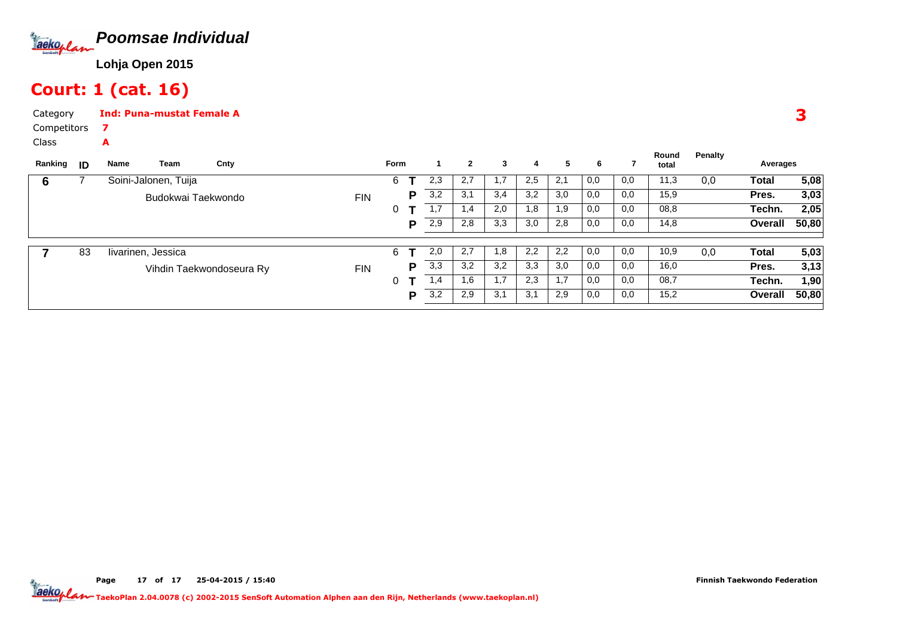

# Court: 1 (cat. 16)

7A

CategoryInd: Puna-mustat Female A

Competitors

Class

| ID | Name | Team | Cnty                                       |                                                |   |   |             | $\mathbf{2}$ | 3   | 4   | 5   | 6   |     | Round<br>total | Penalty |         |          |
|----|------|------|--------------------------------------------|------------------------------------------------|---|---|-------------|--------------|-----|-----|-----|-----|-----|----------------|---------|---------|----------|
|    |      |      |                                            |                                                | 6 |   | 2,3         | 2,7          |     | 2,5 | 2,1 | 0,0 | 0,0 | 11,3           | 0,0     | Total   | 5,08     |
|    |      |      |                                            | <b>FIN</b>                                     |   | P | 3,2         | 3,1          | 3,4 | 3,2 | 3,0 | 0,0 | 0,0 | 15,9           |         | Pres.   | 3,03     |
|    |      |      |                                            |                                                | 0 |   | 1,7         | 1,4          | 2,0 | 1,8 | 1,9 | 0,0 | 0,0 | 08,8           |         | Techn.  | 2,05     |
|    |      |      |                                            |                                                |   | D | 2,9         | 2,8          | 3,3 | 3,0 | 2,8 | 0,0 | 0,0 | 14,8           |         | Overall | 50,80    |
|    |      |      |                                            |                                                |   |   |             |              |     |     |     |     |     |                |         |         |          |
| 83 |      |      |                                            |                                                | 6 |   | 2,0         | 2,7          | 1.8 | 2,2 | 2,2 | 0,0 | 0,0 | 10,9           | 0,0     | Total   | 5,03     |
|    |      |      |                                            | <b>FIN</b>                                     |   | P | 3,3         | 3,2          | 3,2 | 3,3 | 3,0 | 0,0 | 0,0 | 16,0           |         | Pres.   | 3,13     |
|    |      |      |                                            |                                                | 0 |   | 1,4         | 1,6          | 1,7 | 2,3 | 1.7 | 0,0 | 0,0 | 08,7           |         | Techn.  | 1,90     |
|    |      |      |                                            |                                                |   | P | 3,2         | 2,9          | 3,1 | 3,1 | 2,9 | 0,0 | 0,0 | 15,2           |         | Overall | 50,80    |
|    |      |      | Soini-Jalonen, Tuija<br>livarinen, Jessica | Budokwai Taekwondo<br>Vihdin Taekwondoseura Ry |   |   | <b>Form</b> |              |     |     |     |     |     |                |         |         | Averages |

3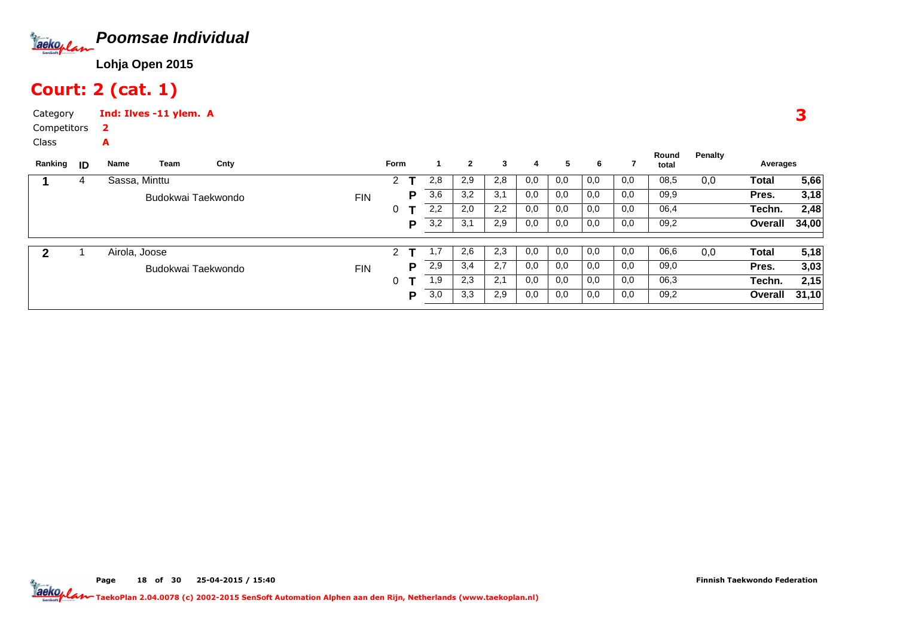

### Court: 2 (cat. 1)

A

CategoryInd: Ilves -11 ylem. A2

Competitors

Class

| Ranking | ID | Name          | Team               | Cnty |            | <b>Form</b> |   |     | $\mathbf{2}$ | 3   | 4   | 5   | 6   |     | Round<br>total | Penalty | Averages |       |
|---------|----|---------------|--------------------|------|------------|-------------|---|-----|--------------|-----|-----|-----|-----|-----|----------------|---------|----------|-------|
|         | 4  | Sassa, Minttu |                    |      |            | 2           |   | 2,8 | 2,9          | 2,8 | 0,0 | 0,0 | 0,0 | 0,0 | 08,5           | 0,0     | Total    | 5,66  |
|         |    |               | Budokwai Taekwondo |      | <b>FIN</b> |             | Р | 3,6 | 3,2          | 3,1 | 0,0 | 0,0 | 0,0 | 0,0 | 09,9           |         | Pres.    | 3,18  |
|         |    |               |                    |      |            | 0           |   | 2,2 | 2,0          | 2,2 | 0,0 | 0,0 | 0,0 | 0,0 | 06,4           |         | Techn.   | 2,48  |
|         |    |               |                    |      |            |             | P | 3,2 | 3,1          | 2,9 | 0,0 | 0,0 | 0,0 | 0,0 | 09,2           |         | Overall  | 34,00 |
|         |    | Airola, Joose |                    |      |            | 2           |   |     | 2,6          | 2,3 | 0,0 | 0,0 | 0,0 | 0,0 | 06,6           | 0,0     | Total    | 5,18  |
|         |    |               | Budokwai Taekwondo |      | <b>FIN</b> |             | P | 2,9 | 3,4          | 2,7 | 0,0 | 0,0 | 0,0 | 0,0 | 09,0           |         | Pres.    | 3,03  |
|         |    |               |                    |      |            | 0           |   | 1,9 | 2,3          | 2,1 | 0,0 | 0,0 | 0,0 | 0,0 | 06,3           |         | Techn.   | 2,15  |
|         |    |               |                    |      |            |             | Р | 3,0 | 3,3          | 2,9 | 0,0 | 0,0 | 0,0 | 0,0 | 09,2           |         | Overall  | 31,10 |
|         |    |               |                    |      |            |             |   |     |              |     |     |     |     |     |                |         |          |       |

3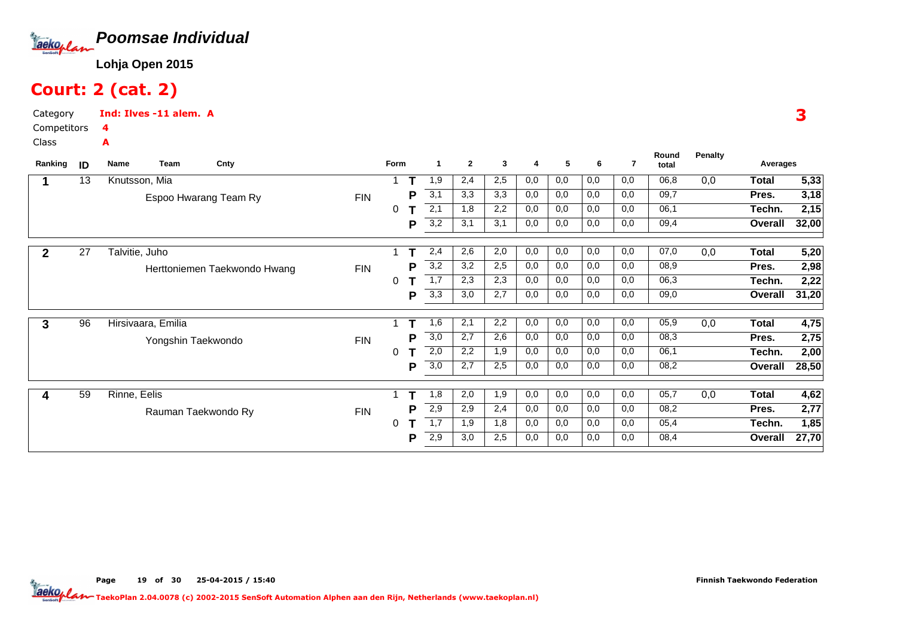

# Court: 2 (cat. 2)

A

Category CompetitorsInd: Ilves -11 alem. A4

Class

| Ranking | ID              | Name           | Team               | Cnty                         |            | Form |   | -1               | $\mathbf{2}$ | 3   | 4   | 5   | 6   | 7   | Round<br>total | <b>Penalty</b> | Averages     |       |
|---------|-----------------|----------------|--------------------|------------------------------|------------|------|---|------------------|--------------|-----|-----|-----|-----|-----|----------------|----------------|--------------|-------|
|         | 13              |                | Knutsson, Mia      |                              |            |      |   | 1,9              | 2,4          | 2,5 | 0,0 | 0,0 | 0,0 | 0,0 | 06,8           | 0,0            | <b>Total</b> | 5,33  |
|         |                 |                |                    | Espoo Hwarang Team Ry        | <b>FIN</b> |      | P | $\overline{3,1}$ | 3,3          | 3,3 | 0,0 | 0,0 | 0,0 | 0,0 | 09,7           |                | Pres.        | 3,18  |
|         |                 |                |                    |                              |            | 0    |   | 2,1              | 1,8          | 2,2 | 0,0 | 0,0 | 0,0 | 0,0 | 06,1           |                | Techn.       | 2,15  |
|         |                 |                |                    |                              |            |      | P | 3,2              | 3,1          | 3,1 | 0,0 | 0,0 | 0,0 | 0,0 | 09,4           |                | Overall      | 32,00 |
|         | $\overline{27}$ | Talvitie, Juho |                    |                              |            |      |   | 2,4              | 2,6          | 2,0 | 0,0 | 0,0 | 0,0 | 0,0 | 07,0           | 0,0            | Total        | 5,20  |
|         |                 |                |                    | Herttoniemen Taekwondo Hwang | <b>FIN</b> |      | P | 3,2              | 3,2          | 2,5 | 0,0 | 0,0 | 0,0 | 0,0 | 08,9           |                | Pres.        | 2,98  |
|         |                 |                |                    |                              |            | 0    |   | 1,7              | 2,3          | 2,3 | 0,0 | 0,0 | 0,0 | 0,0 | 06,3           |                | Techn.       | 2,22  |
|         |                 |                |                    |                              |            |      | P | 3,3              | 3,0          | 2,7 | 0,0 | 0,0 | 0,0 | 0,0 | 09,0           |                | Overall      | 31,20 |
| 3       | 96              |                | Hirsivaara, Emilia |                              |            |      |   | 1,6              | 2,1          | 2,2 | 0,0 | 0,0 | 0,0 | 0,0 | 05,9           | 0,0            | <b>Total</b> | 4,75  |
|         |                 |                | Yongshin Taekwondo |                              | <b>FIN</b> |      | P | $\overline{3,0}$ | 2,7          | 2,6 | 0,0 | 0,0 | 0,0 | 0,0 | 08,3           |                | Pres.        | 2,75  |
|         |                 |                |                    |                              |            | 0    |   | 2,0              | 2,2          | 1,9 | 0,0 | 0,0 | 0,0 | 0,0 | 06,1           |                | Techn.       | 2,00  |
|         |                 |                |                    |                              |            |      | P | $\overline{3,0}$ | 2,7          | 2,5 | 0,0 | 0,0 | 0,0 | 0,0 | 08,2           |                | Overall      | 28,50 |
|         | 59              | Rinne, Eelis   |                    |                              |            |      |   | 1,8              | 2,0          | 1,9 | 0,0 | 0,0 | 0,0 | 0,0 | 05,7           | 0,0            | <b>Total</b> | 4,62  |
|         |                 |                |                    | Rauman Taekwondo Ry          | <b>FIN</b> |      | Р | 2,9              | 2,9          | 2,4 | 0,0 | 0,0 | 0,0 | 0,0 | 08,2           |                | Pres.        | 2,77  |
|         |                 |                |                    |                              |            | 0    |   | 1,7              | 1,9          | 1,8 | 0,0 | 0,0 | 0,0 | 0,0 | 05,4           |                | Techn.       | 1,85  |
|         |                 |                |                    |                              |            |      | Р | 2,9              | 3,0          | 2,5 | 0,0 | 0,0 | 0,0 | 0,0 | 08,4           |                | Overall      | 27,70 |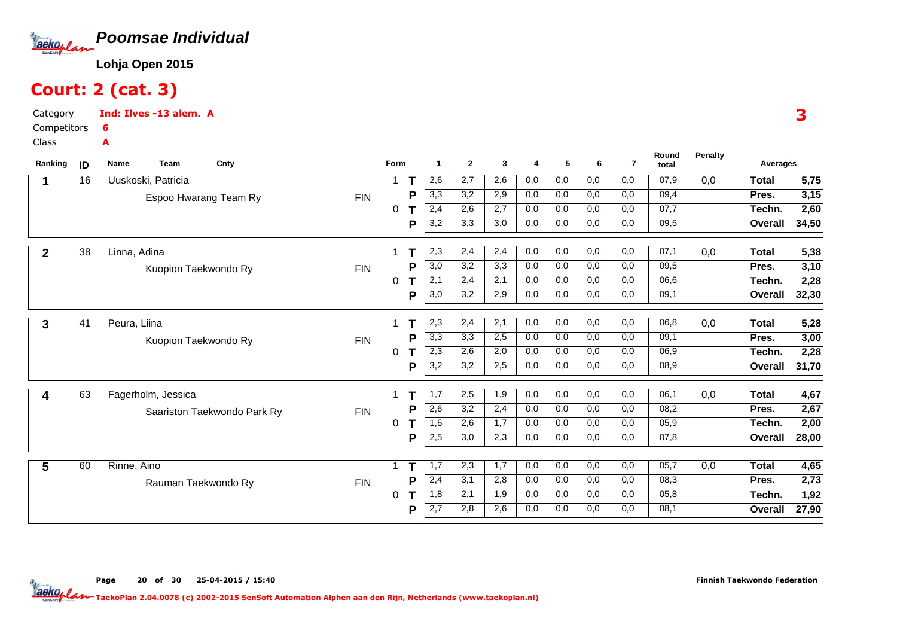

# Court: 2 (cat. 3)

Category CompetitorsInd: Ilves -13 alem. A6A

Class

| Ranking      | ID | <b>Name</b><br><b>Team</b> | Cnty                        |            | Form        |   | 1                | $\mathbf{2}$ | 3   | 4   | 5   | 6   | $\overline{7}$ | Round<br>total | <b>Penalty</b> | Averages     |                   |
|--------------|----|----------------------------|-----------------------------|------------|-------------|---|------------------|--------------|-----|-----|-----|-----|----------------|----------------|----------------|--------------|-------------------|
|              | 16 | Uuskoski, Patricia         |                             |            | 1           |   | 2,6              | 2,7          | 2,6 | 0,0 | 0,0 | 0,0 | 0,0            | 07,9           | 0,0            | <b>Total</b> | 5,75              |
|              |    | Espoo Hwarang Team Ry      |                             | <b>FIN</b> |             | Р | 3,3              | 3,2          | 2,9 | 0,0 | 0,0 | 0,0 | 0,0            | 09,4           |                | Pres.        | 3,15              |
|              |    |                            |                             |            | 0           |   | 2,4              | 2,6          | 2,7 | 0,0 | 0,0 | 0,0 | 0,0            | 07,7           |                | Techn.       | 2,60              |
|              |    |                            |                             |            |             | P | 3,2              | 3,3          | 3,0 | 0,0 | 0,0 | 0,0 | 0,0            | 09,5           |                | Overall      | 34,50             |
| $\mathbf{2}$ | 38 | Linna, Adina               |                             |            |             |   | 2,3              | 2,4          | 2,4 | 0,0 | 0,0 | 0,0 | 0,0            | 07,1           | 0,0            | <b>Total</b> | 5,38              |
|              |    | Kuopion Taekwondo Ry       |                             | <b>FIN</b> |             | P | 3,0              | 3,2          | 3,3 | 0,0 | 0,0 | 0,0 | 0,0            | 09,5           |                | Pres.        | 3,10              |
|              |    |                            |                             |            | 0           |   | $\overline{2,1}$ | 2,4          | 2,1 | 0,0 | 0,0 | 0,0 | 0,0            | 06,6           |                | Techn.       | 2,28              |
|              |    |                            |                             |            |             | P | $\overline{3,0}$ | 3,2          | 2,9 | 0,0 | 0,0 | 0,0 | 0,0            | 09,1           |                | Overall      | 32,30             |
| 3            | 41 | Peura, Liina               |                             |            |             |   | 2,3              | 2,4          | 2,1 | 0,0 | 0,0 | 0,0 | 0,0            | 06,8           | 0,0            | <b>Total</b> | 5,28              |
|              |    | Kuopion Taekwondo Ry       |                             | <b>FIN</b> |             | P | 3,3              | 3,3          | 2,5 | 0,0 | 0,0 | 0,0 | 0,0            | 09.1           |                | Pres.        | 3,00              |
|              |    |                            |                             |            | 0           | т | $\overline{2,3}$ | 2,6          | 2,0 | 0,0 | 0,0 | 0,0 | 0,0            | 06,9           |                | Techn.       | 2,28              |
|              |    |                            |                             |            |             | P | 3,2              | 3,2          | 2,5 | 0,0 | 0,0 | 0,0 | 0,0            | 08,9           |                | Overall      | 31,70             |
|              | 63 | Fagerholm, Jessica         |                             |            |             |   | 1,7              | 2,5          | 1,9 | 0,0 | 0,0 | 0,0 | 0,0            | 06,1           | 0,0            | <b>Total</b> | 4,67              |
|              |    |                            | Saariston Taekwondo Park Ry | <b>FIN</b> |             | Р | 2,6              | 3,2          | 2,4 | 0,0 | 0,0 | 0,0 | 0,0            | 08,2           |                | Pres.        | 2,67              |
|              |    |                            |                             |            | $\mathbf 0$ |   | 1,6              | 2,6          | 1,7 | 0,0 | 0,0 | 0,0 | 0,0            | 05,9           |                | Techn.       | $\overline{2,00}$ |
|              |    |                            |                             |            |             | Р | 2,5              | 3,0          | 2,3 | 0,0 | 0,0 | 0,0 | 0,0            | 07,8           |                | Overall      | 28,00             |
| 5            | 60 | Rinne, Aino                |                             |            |             |   | 1,7              | 2,3          | 1,7 | 0,0 | 0,0 | 0,0 | 0,0            | 05,7           | 0,0            | <b>Total</b> | 4,65              |
|              |    | Rauman Taekwondo Ry        |                             | <b>FIN</b> |             | Р | 2,4              | 3,1          | 2,8 | 0,0 | 0,0 | 0,0 | 0,0            | 08,3           |                | Pres.        | 2,73              |
|              |    |                            |                             |            | 0           |   | 1,8              | 2,1          | 1,9 | 0,0 | 0,0 | 0,0 | 0,0            | 05,8           |                | Techn.       | 1,92              |
|              |    |                            |                             |            |             | Р | $\overline{2,7}$ | 2,8          | 2,6 | 0,0 | 0,0 | 0,0 | 0,0            | 08,1           |                | Overall      | 27,90             |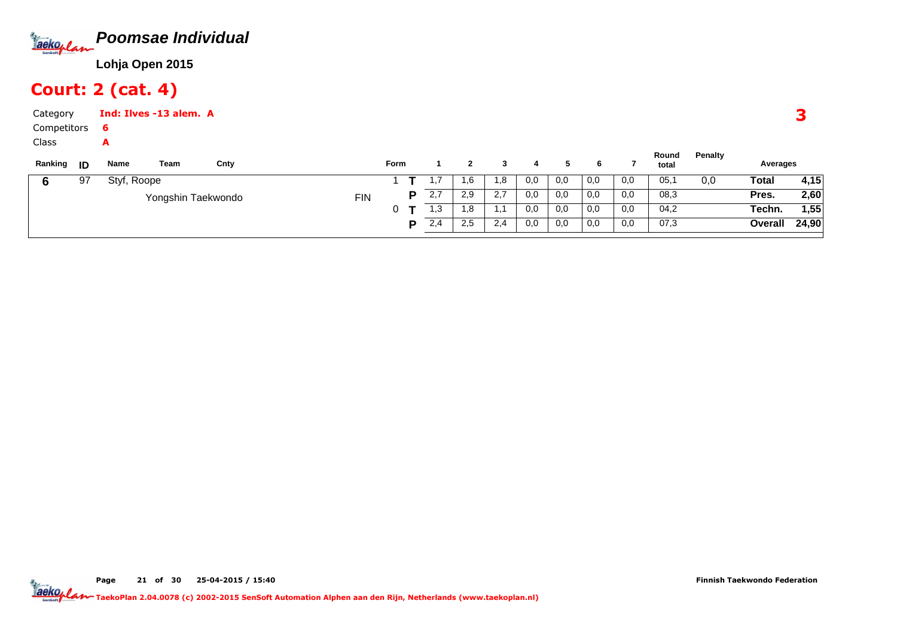

# Court: 2 (cat. 4)

Category CompetitorsClassInd: Ilves -13 alem. A6A

| Ranking | -ID | Name        | Team               | Cnty |            | Form |   |      |      |                |     |     |     |     | Round<br>total | <b>Penalty</b> | Averages |       |
|---------|-----|-------------|--------------------|------|------------|------|---|------|------|----------------|-----|-----|-----|-----|----------------|----------------|----------|-------|
|         | 97  | Styf, Roope |                    |      |            |      |   | .    | .6   | 1,8            | 0,0 | 0,0 | 0,0 | 0,0 | 05,1           | 0,0            | Total    | 4,15  |
|         |     |             | Yongshin Taekwondo |      | <b>FIN</b> |      | D | 2,7  | 2,9  | 2,7            | 0,0 | 0,0 | 0,0 | 0,0 | 08,3           |                | Pres.    | 2,60  |
|         |     |             |                    |      |            |      |   | l ,3 | 8. ا | $\overline{a}$ | 0,0 | 0,0 | 0,0 | 0,0 | 04,2           |                | Techn.   | 1,55  |
|         |     |             |                    |      |            |      | D | 2,4  | 2,5  | 2,4            | 0,0 | 0,0 | 0,0 | 0,0 | 07,3           |                | Overall  | 24,90 |
|         |     |             |                    |      |            |      |   |      |      |                |     |     |     |     |                |                |          |       |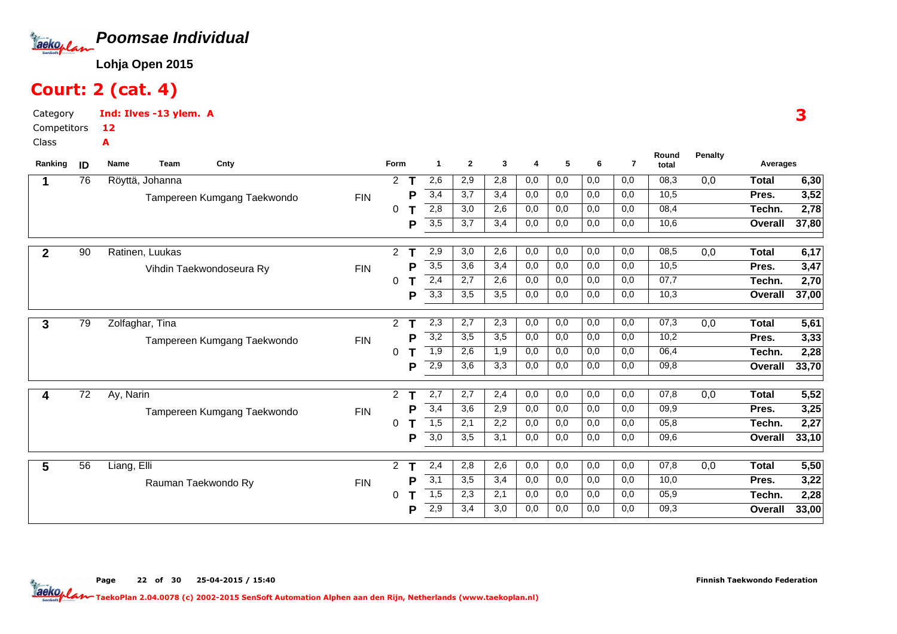

### Court: 2 (cat. 4)

A

Category CompetitorsInd: Ilves -13 ylem. A12

Class

| Ranking      | ID | Name<br>Team<br>Cnty        |            | Form                 |   | -1  | $\mathbf{2}$ | 3   | 4   | 5   | 6   | $\overline{7}$ | Round<br>total | <b>Penalty</b> | Averages     |       |
|--------------|----|-----------------------------|------------|----------------------|---|-----|--------------|-----|-----|-----|-----|----------------|----------------|----------------|--------------|-------|
|              | 76 | Röyttä, Johanna             |            | $\mathbf{2}^{\circ}$ |   | 2,6 | 2,9          | 2,8 | 0,0 | 0,0 | 0,0 | 0,0            | 08,3           | 0,0            | <b>Total</b> | 6,30  |
|              |    | Tampereen Kumgang Taekwondo | <b>FIN</b> |                      | P | 3,4 | 3,7          | 3,4 | 0,0 | 0,0 | 0,0 | 0,0            | 10,5           |                | Pres.        | 3,52  |
|              |    |                             |            | 0                    |   | 2,8 | 3,0          | 2,6 | 0,0 | 0,0 | 0,0 | 0,0            | 08,4           |                | Techn.       | 2,78  |
|              |    |                             |            |                      | P | 3,5 | 3,7          | 3,4 | 0,0 | 0,0 | 0,0 | 0,0            | 10,6           |                | Overall      | 37,80 |
| $\mathbf{2}$ | 90 | Ratinen, Luukas             |            | $\overline{2}$       | т | 2,9 | 3,0          | 2,6 | 0,0 | 0,0 | 0,0 | 0,0            | 08,5           | 0,0            | <b>Total</b> | 6,17  |
|              |    | Vihdin Taekwondoseura Ry    | <b>FIN</b> |                      | Р | 3,5 | 3,6          | 3,4 | 0,0 | 0,0 | 0,0 | 0,0            | 10,5           |                | Pres.        | 3,47  |
|              |    |                             |            | 0                    |   | 2,4 | 2,7          | 2,6 | 0,0 | 0,0 | 0,0 | 0,0            | 07,7           |                | Techn.       | 2,70  |
|              |    |                             |            |                      | P | 3,3 | 3,5          | 3,5 | 0,0 | 0,0 | 0,0 | 0,0            | 10,3           |                | Overall      | 37,00 |
| 3            | 79 | Zolfaghar, Tina             |            | $\overline{2}$       | т | 2,3 | 2,7          | 2,3 | 0,0 | 0,0 | 0,0 | 0,0            | 07,3           | 0,0            | <b>Total</b> | 5,61  |
|              |    | Tampereen Kumgang Taekwondo | <b>FIN</b> |                      | P | 3,2 | 3,5          | 3,5 | 0,0 | 0,0 | 0,0 | 0,0            | 10,2           |                | Pres.        | 3,33  |
|              |    |                             |            | 0                    |   | 1,9 | 2,6          | 1,9 | 0,0 | 0,0 | 0,0 | 0,0            | 06,4           |                | Techn.       | 2,28  |
|              |    |                             |            |                      | P | 2,9 | 3,6          | 3,3 | 0,0 | 0,0 | 0,0 | 0,0            | 09,8           |                | Overall      | 33,70 |
| 4            | 72 | Ay, Narin                   |            | $\overline{2}$       |   | 2,7 | 2,7          | 2,4 | 0,0 | 0,0 | 0,0 | 0,0            | 07,8           | 0,0            | Total        | 5,52  |
|              |    | Tampereen Kumgang Taekwondo | <b>FIN</b> |                      | Р | 3,4 | 3,6          | 2,9 | 0,0 | 0,0 | 0,0 | 0,0            | 09,9           |                | Pres.        | 3,25  |
|              |    |                             |            | 0                    |   | 1,5 | 2,1          | 2,2 | 0,0 | 0,0 | 0,0 | 0,0            | 05,8           |                | Techn.       | 2,27  |
|              |    |                             |            |                      | P | 3,0 | 3,5          | 3,1 | 0,0 | 0,0 | 0,0 | 0,0            | 09,6           |                | Overall      | 33,10 |
| 5            | 56 | Liang, Elli                 |            | $\mathbf{2}$         |   | 2,4 | 2,8          | 2,6 | 0,0 | 0,0 | 0,0 | 0,0            | 07,8           | 0,0            | <b>Total</b> | 5,50  |
|              |    | Rauman Taekwondo Ry         | <b>FIN</b> |                      | P | 3,1 | 3,5          | 3,4 | 0,0 | 0,0 | 0,0 | 0,0            | 10,0           |                | Pres.        | 3,22  |
|              |    |                             |            | 0                    |   | 1,5 | 2,3          | 2,1 | 0,0 | 0,0 | 0,0 | 0,0            | 05,9           |                | Techn.       | 2,28  |
|              |    |                             |            |                      | P | 2,9 | 3,4          | 3,0 | 0,0 | 0,0 | 0,0 | 0,0            | 09,3           |                | Overall      | 33,00 |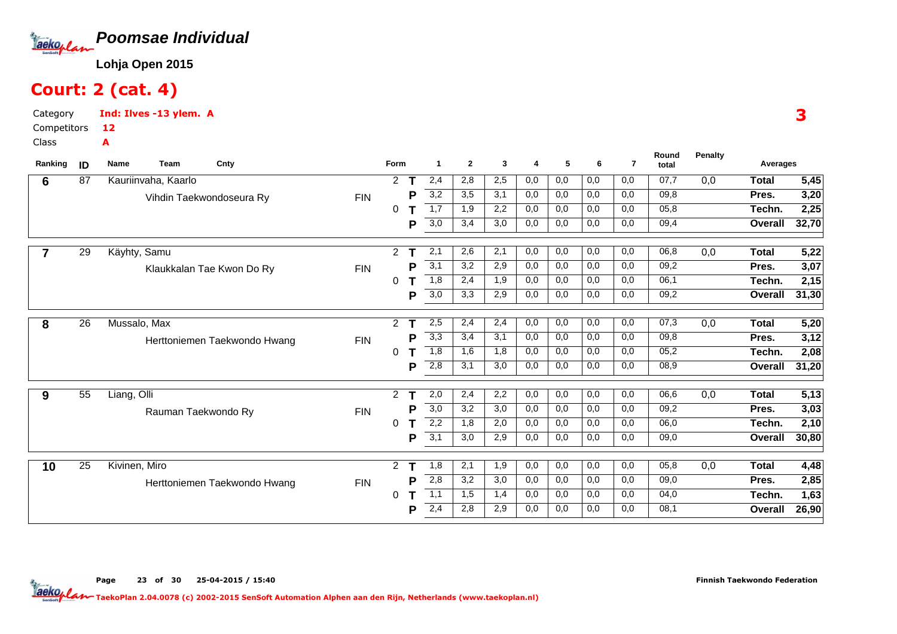

### Court: 2 (cat. 4)

Category CompetitorsInd: Ilves -13 ylem. A12A

Class

| Ranking | ID | Cnty<br><b>Name</b><br><b>Team</b> |            | <b>Form</b>          |   | $\mathbf{1}$     | $\mathbf{2}$ | 3   | 4   | 5   | 6   | $\overline{7}$ | Round<br>total | Penalty | Averages       |       |
|---------|----|------------------------------------|------------|----------------------|---|------------------|--------------|-----|-----|-----|-----|----------------|----------------|---------|----------------|-------|
| 6       | 87 | Kauriinvaha, Kaarlo                |            | 2                    |   | 2,4              | 2,8          | 2,5 | 0,0 | 0,0 | 0,0 | 0,0            | 07,7           | 0,0     | <b>Total</b>   | 5,45  |
|         |    | Vihdin Taekwondoseura Ry           | <b>FIN</b> |                      | P | 3,2              | 3,5          | 3,1 | 0,0 | 0,0 | 0,0 | 0,0            | 09,8           |         | Pres.          | 3,20  |
|         |    |                                    |            | 0                    |   | 1,7              | 1,9          | 2,2 | 0,0 | 0,0 | 0,0 | 0,0            | 05,8           |         | Techn.         | 2,25  |
|         |    |                                    |            |                      | Р | 3,0              | 3,4          | 3,0 | 0,0 | 0,0 | 0,0 | 0,0            | 09,4           |         | <b>Overall</b> | 32,70 |
|         | 29 | Käyhty, Samu                       |            | $\mathbf{2}^{\circ}$ | т | 2,1              | 2,6          | 2,1 | 0,0 | 0,0 | 0,0 | 0,0            | 06,8           | 0,0     | <b>Total</b>   | 5,22  |
|         |    | Klaukkalan Tae Kwon Do Ry          | <b>FIN</b> |                      | Р | 3,1              | 3,2          | 2,9 | 0,0 | 0,0 | 0,0 | 0,0            | 09,2           |         | Pres.          | 3,07  |
|         |    |                                    |            | 0                    |   | 1,8              | 2,4          | 1,9 | 0,0 | 0,0 | 0,0 | 0,0            | 06,1           |         | Techn.         | 2,15  |
|         |    |                                    |            |                      | P | 3,0              | 3,3          | 2,9 | 0,0 | 0,0 | 0,0 | 0,0            | 09,2           |         | <b>Overall</b> | 31,30 |
| 8       | 26 | Mussalo, Max                       |            | $\overline{2}$       |   | 2,5              | 2,4          | 2,4 | 0,0 | 0,0 | 0,0 | 0,0            | 07,3           | 0,0     | <b>Total</b>   | 5,20  |
|         |    | Herttoniemen Taekwondo Hwang       | <b>FIN</b> |                      | P | 3,3              | 3,4          | 3,1 | 0,0 | 0,0 | 0,0 | 0,0            | 09,8           |         | Pres.          | 3,12  |
|         |    |                                    |            | 0                    |   | 1,8              | 1,6          | 1,8 | 0,0 | 0,0 | 0,0 | 0,0            | 05,2           |         | Techn.         | 2,08  |
|         |    |                                    |            |                      | P | 2,8              | 3,1          | 3,0 | 0,0 | 0,0 | 0,0 | 0,0            | 08,9           |         | Overall        | 31,20 |
| 9       | 55 | Liang, Olli                        |            | 2                    |   | 2,0              | 2,4          | 2,2 | 0,0 | 0,0 | 0,0 | 0,0            | 06,6           | 0,0     | <b>Total</b>   | 5,13  |
|         |    | Rauman Taekwondo Ry                | <b>FIN</b> |                      | Р | $\overline{3,0}$ | 3,2          | 3,0 | 0,0 | 0,0 | 0,0 | 0.0            | 09,2           |         | Pres.          | 3,03  |
|         |    |                                    |            | 0                    |   | 2,2              | 1,8          | 2,0 | 0,0 | 0,0 | 0,0 | 0,0            | 06,0           |         | Techn.         | 2,10  |
|         |    |                                    |            |                      | P | 3,1              | 3,0          | 2,9 | 0,0 | 0,0 | 0,0 | 0,0            | 09,0           |         | Overall        | 30,80 |
| 10      | 25 | Kivinen, Miro                      |            | $\overline{2}$       |   | 1,8              | 2,1          | 1,9 | 0,0 | 0,0 | 0,0 | 0,0            | 05,8           | 0,0     | <b>Total</b>   | 4,48  |
|         |    | Herttoniemen Taekwondo Hwang       | <b>FIN</b> |                      | Р | 2,8              | 3,2          | 3,0 | 0,0 | 0,0 | 0,0 | 0,0            | 09,0           |         | Pres.          | 2,85  |
|         |    |                                    |            | 0                    |   | 1,1              | 1,5          | 1,4 | 0,0 | 0,0 | 0,0 | 0,0            | 04,0           |         | Techn.         | 1,63  |
|         |    |                                    |            |                      | Р | 2,4              | 2,8          | 2,9 | 0,0 | 0,0 | 0,0 | 0,0            | 08,1           |         | Overall        | 26,90 |

3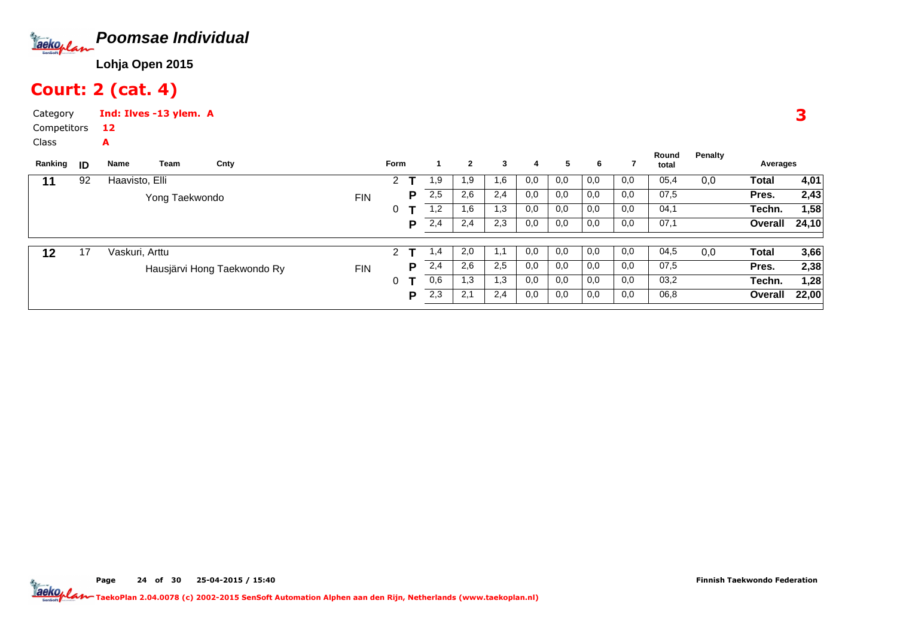

### Court: 2 (cat. 4)

A

Category CompetitorsInd: Ilves -13 ylem. A12

Class

| Ranking | ID | Name           | Team           | Cnty                        |            | Form |     |     | $\mathbf{2}$ | 3   | 4   | 5   | 6   |      | Round<br>total | Penalty | Averages |       |
|---------|----|----------------|----------------|-----------------------------|------------|------|-----|-----|--------------|-----|-----|-----|-----|------|----------------|---------|----------|-------|
| 11      | 92 | Haavisto, Elli |                |                             |            | 2    |     | 1,9 | 1,9          | 1,6 | 0,0 | 0,0 | 0,0 | 0,0  | 05,4           | 0,0     | Total    | 4,01  |
|         |    |                | Yong Taekwondo |                             | <b>FIN</b> |      | P   | 2,5 | 2,6          | 2,4 | 0,0 | 0,0 | 0,0 | 0,0  | 07,5           |         | Pres.    | 2,43  |
|         |    |                |                |                             |            | 0    |     | 1,2 | 1,6          | 1,3 | 0,0 | 0,0 | 0,0 | 0,0  | 04,1           |         | Techn.   | 1,58  |
|         |    |                |                |                             |            |      | P   | 2,4 | 2,4          | 2,3 | 0,0 | 0,0 | 0,0 | 0,0  | 07,1           |         | Overall  | 24,10 |
| 12      | 17 | Vaskuri, Arttu |                |                             |            | 2    |     | 1,4 | 2,0          | 1,1 | 0,0 | 0,0 | 0,0 | 0,0  | 04,5           | 0,0     | Total    | 3,66  |
|         |    |                |                |                             |            |      |     |     |              |     |     |     |     |      |                |         |          |       |
|         |    |                |                | Hausjärvi Hong Taekwondo Ry | <b>FIN</b> |      | P   | 2,4 | 2,6          | 2,5 | 0,0 | 0,0 | 0,0 | 0,0  | 07,5           |         | Pres.    | 2,38  |
|         |    |                |                |                             |            | 0    |     | 0,6 | 1,3          | 1,3 | 0,0 | 0,0 | 0,0 | 0,0  | 03,2           |         | Techn.   | 1,28  |
|         |    |                |                |                             |            | P    | 2,3 | 2,1 | 2,4          | 0,0 | 0,0 | 0,0 | 0,0 | 06,8 |                | Overall | 22,00    |       |
|         |    |                |                |                             |            |      |     |     |              |     |     |     |     |      |                |         |          |       |

3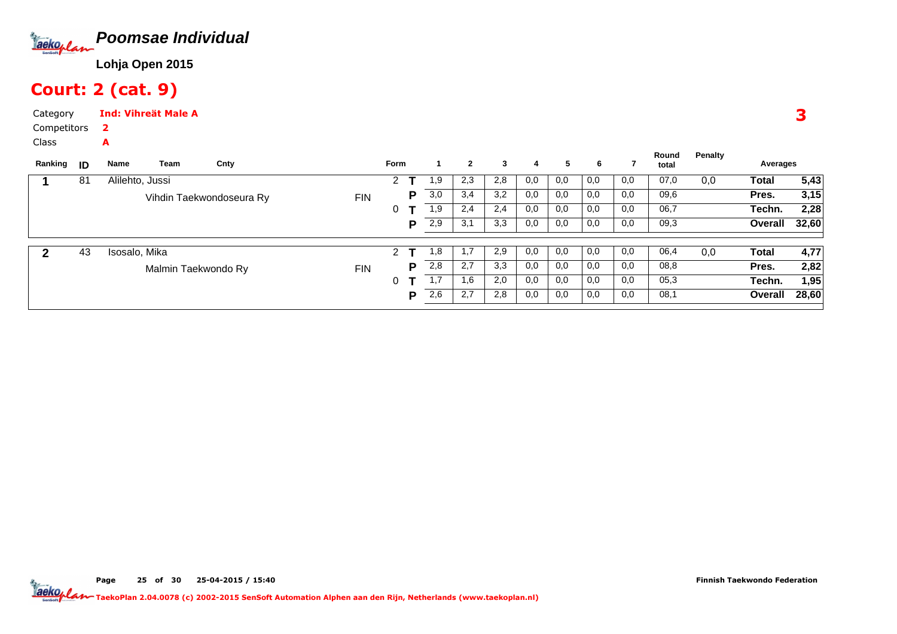

# Court: 2 (cat. 9)

2A

CategoryInd: Vihreät Male A

Competitors

Class

| ID | Name | Team | Cnty                             |                                                 |   |   |             | $\mathbf{2}$ | 3   | 4   | 5   | 6   |     | Round<br>total | Penalty | Averages |       |
|----|------|------|----------------------------------|-------------------------------------------------|---|---|-------------|--------------|-----|-----|-----|-----|-----|----------------|---------|----------|-------|
| 81 |      |      |                                  |                                                 | 2 |   | 1,9         | 2,3          | 2,8 | 0,0 | 0,0 | 0,0 | 0,0 | 07,0           | 0,0     | Total    | 5,43  |
|    |      |      |                                  | <b>FIN</b>                                      |   | Р | 3,0         | 3,4          | 3,2 | 0,0 | 0,0 | 0,0 | 0,0 | 09,6           |         | Pres.    | 3,15  |
|    |      |      |                                  |                                                 | 0 |   | 1,9         | 2,4          | 2,4 | 0,0 | 0,0 | 0,0 | 0,0 | 06,7           |         | Techn.   | 2,28  |
|    |      |      |                                  |                                                 |   | P | 2,9         | 3,1          | 3,3 | 0,0 | 0,0 | 0,0 | 0,0 | 09,3           |         | Overall  | 32,60 |
|    |      |      |                                  |                                                 |   |   |             |              |     |     |     |     |     |                |         |          |       |
| 43 |      |      |                                  |                                                 | 2 |   | 1,8         | 1.7          | 2,9 | 0,0 | 0,0 | 0,0 | 0,0 | 06,4           | 0,0     | Total    | 4,77  |
|    |      |      |                                  | <b>FIN</b>                                      |   | Р | 2,8         | 2,7          | 3,3 | 0,0 | 0,0 | 0,0 | 0,0 | 08,8           |         | Pres.    | 2,82  |
|    |      |      |                                  |                                                 | 0 |   | 1,7         | 1,6          | 2,0 | 0,0 | 0,0 | 0,0 | 0,0 | 05,3           |         | Techn.   | 1,95  |
|    |      |      |                                  |                                                 |   | P | 2,6         | 2,7          | 2,8 | 0,0 | 0,0 | 0,0 | 0,0 | 08,1           |         | Overall  | 28,60 |
|    |      |      | Alilehto, Jussi<br>Isosalo, Mika | Vihdin Taekwondoseura Ry<br>Malmin Taekwondo Ry |   |   | <b>Form</b> |              |     |     |     |     |     |                |         |          |       |

3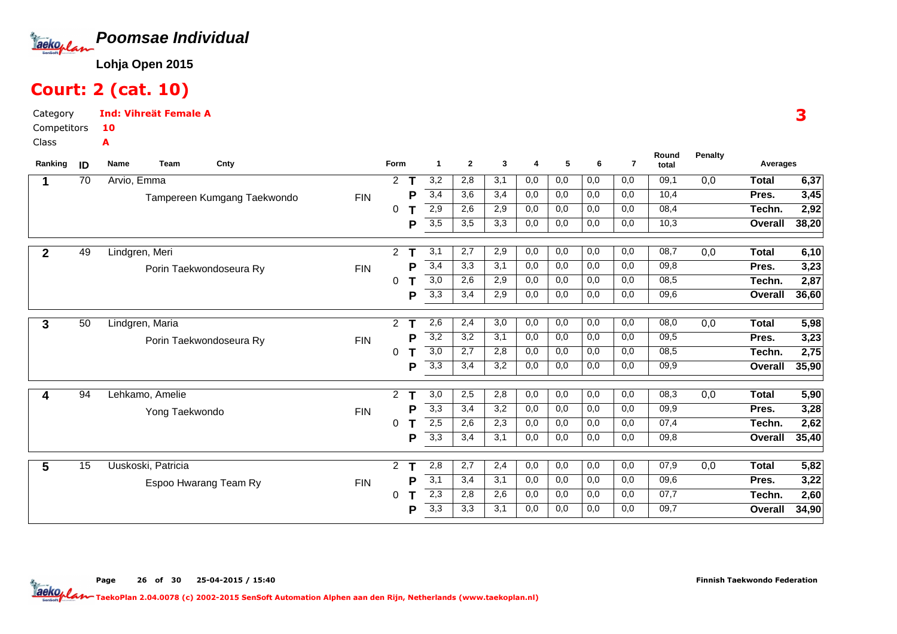

### Court: 2 (cat. 10)

A

Category CompetitorsInd: Vihreät Female A10

Class

| Ranking      | ID | Cnty<br>Name<br>Team        |            | Form                 |   | $\mathbf 1$      | $\mathbf{2}$ | 3   | $\overline{4}$ | 5   | 6   | $\overline{7}$ | Round<br>total | Penalty | Averages       |       |
|--------------|----|-----------------------------|------------|----------------------|---|------------------|--------------|-----|----------------|-----|-----|----------------|----------------|---------|----------------|-------|
|              | 70 | Arvio, Emma                 |            | $\mathbf{2}^{\circ}$ |   | 3,2              | 2,8          | 3,1 | 0,0            | 0,0 | 0,0 | 0,0            | 09,1           | 0,0     | Total          | 6,37  |
|              |    | Tampereen Kumgang Taekwondo | <b>FIN</b> |                      | D | 3,4              | 3,6          | 3,4 | 0,0            | 0,0 | 0,0 | 0,0            | 10,4           |         | Pres.          | 3,45  |
|              |    |                             |            | 0                    |   | 2,9              | 2,6          | 2,9 | 0,0            | 0,0 | 0,0 | 0,0            | 08,4           |         | Techn.         | 2,92  |
|              |    |                             |            |                      | Р | 3,5              | 3,5          | 3,3 | 0,0            | 0,0 | 0,0 | 0,0            | 10,3           |         | Overall        | 38,20 |
| $\mathbf{2}$ | 49 | Lindgren, Meri              |            | 2                    | т | 3,1              | 2,7          | 2,9 | 0,0            | 0,0 | 0,0 | 0,0            | 08,7           | 0,0     | <b>Total</b>   | 6,10  |
|              |    | Porin Taekwondoseura Ry     | <b>FIN</b> |                      | Р | 3,4              | 3,3          | 3,1 | 0,0            | 0,0 | 0,0 | 0,0            | 09,8           |         | Pres.          | 3,23  |
|              |    |                             |            | 0                    |   | $\overline{3,0}$ | 2,6          | 2,9 | 0,0            | 0,0 | 0,0 | 0,0            | 08,5           |         | Techn.         | 2,87  |
|              |    |                             |            |                      | Р | 3,3              | 3,4          | 2,9 | 0,0            | 0,0 | 0,0 | 0,0            | 09,6           |         | <b>Overall</b> | 36,60 |
| 3            | 50 | Lindgren, Maria             |            | $\overline{2}$       |   | 2,6              | 2,4          | 3,0 | 0,0            | 0,0 | 0,0 | 0,0            | 08,0           | 0,0     | <b>Total</b>   | 5,98  |
|              |    | Porin Taekwondoseura Ry     | <b>FIN</b> |                      | P | 3,2              | 3,2          | 3,1 | 0,0            | 0,0 | 0,0 | 0,0            | 09,5           |         | Pres.          | 3,23  |
|              |    |                             |            | 0                    |   | $\overline{3,0}$ | 2,7          | 2,8 | 0,0            | 0,0 | 0,0 | 0,0            | 08,5           |         | Techn.         | 2,75  |
|              |    |                             |            |                      | Р | 3,3              | 3,4          | 3,2 | 0,0            | 0,0 | 0,0 | 0,0            | 09,9           |         | Overall        | 35,90 |
|              | 94 | Lehkamo, Amelie             |            | $\overline{2}$       |   | $\overline{3,0}$ | 2,5          | 2,8 | 0,0            | 0,0 | 0,0 | 0,0            | 08,3           | 0,0     | <b>Total</b>   | 5,90  |
|              |    | Yong Taekwondo              | <b>FIN</b> |                      | Р | 3,3              | 3,4          | 3,2 | 0,0            | 0,0 | 0,0 | 0,0            | 09,9           |         | Pres.          | 3,28  |
|              |    |                             |            | 0                    |   | 2,5              | 2,6          | 2,3 | 0,0            | 0,0 | 0,0 | 0,0            | 07,4           |         | Techn.         | 2,62  |
|              |    |                             |            |                      | Р | $\overline{3,3}$ | 3,4          | 3,1 | 0,0            | 0,0 | 0,0 | 0,0            | 09,8           |         | Overall        | 35,40 |
| 5            | 15 | Uuskoski, Patricia          |            | $\overline{2}$       |   | 2,8              | 2,7          | 2,4 | 0,0            | 0,0 | 0,0 | 0,0            | 07,9           | 0,0     | <b>Total</b>   | 5,82  |
|              |    | Espoo Hwarang Team Ry       | <b>FIN</b> |                      | Р | 3,1              | 3,4          | 3,1 | 0,0            | 0,0 | 0,0 | 0,0            | 09,6           |         | Pres.          | 3,22  |
|              |    |                             |            | 0                    |   | 2,3              | 2,8          | 2,6 | 0,0            | 0,0 | 0,0 | 0,0            | 07,7           |         | Techn.         | 2,60  |
|              |    |                             |            |                      | Р | 3,3              | 3,3          | 3,1 | 0,0            | 0,0 | 0,0 | 0,0            | 09,7           |         | Overall        | 34,90 |

3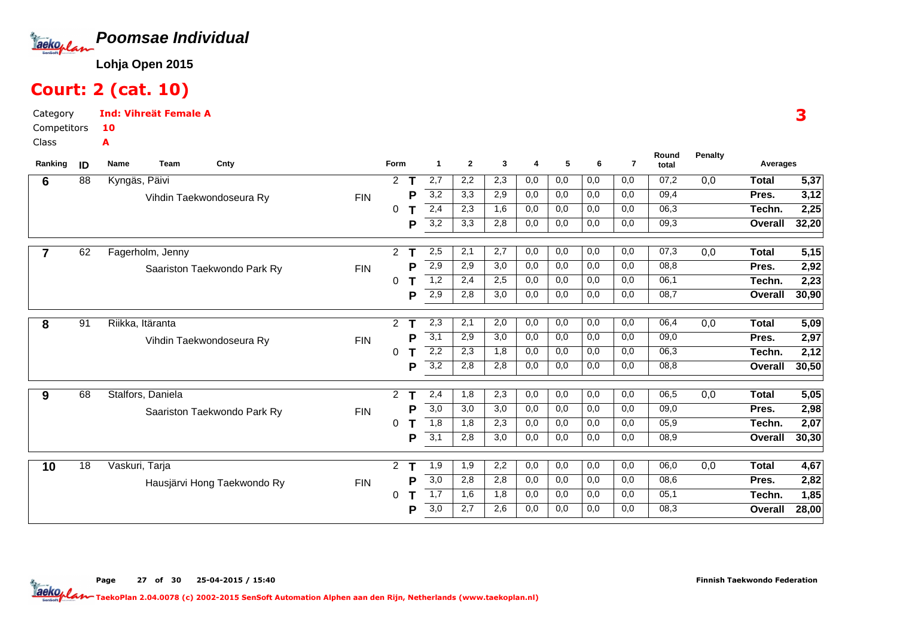

### Court: 2 (cat. 10)

Category CompetitorsInd: Vihreät Female A10A

Class

| Ranking | ID              | <b>Team</b><br>Cnty<br><b>Name</b> |            | Form           |   | -1               | $\overline{2}$ | 3   | 4   | 5   | 6   | $\overline{7}$ | Round<br>total | <b>Penalty</b> | Averages       |       |
|---------|-----------------|------------------------------------|------------|----------------|---|------------------|----------------|-----|-----|-----|-----|----------------|----------------|----------------|----------------|-------|
| 6       | 88              | Kyngäs, Päivi                      |            | 2              |   | 2,7              | 2,2            | 2,3 | 0,0 | 0,0 | 0,0 | 0,0            | 07,2           | 0,0            | <b>Total</b>   | 5,37  |
|         |                 | Vihdin Taekwondoseura Ry           | <b>FIN</b> |                | P | 3,2              | 3,3            | 2,9 | 0,0 | 0,0 | 0,0 | 0,0            | 09,4           |                | Pres.          | 3,12  |
|         |                 |                                    |            | $\Omega$       |   | 2,4              | 2,3            | 1,6 | 0,0 | 0,0 | 0,0 | 0,0            | 06,3           |                | Techn.         | 2,25  |
|         |                 |                                    |            |                | Ρ | $\overline{3,2}$ | 3,3            | 2,8 | 0,0 | 0,0 | 0,0 | 0,0            | 09,3           |                | Overall        | 32,20 |
|         | 62              | Fagerholm, Jenny                   |            | $\overline{2}$ |   | 2,5              | 2,1            | 2,7 | 0,0 | 0,0 | 0,0 | 0,0            | 07,3           | 0,0            | <b>Total</b>   | 5,15  |
|         |                 | Saariston Taekwondo Park Ry        | <b>FIN</b> |                | Р | 2,9              | 2,9            | 3,0 | 0,0 | 0,0 | 0,0 | 0,0            | 08,8           |                | Pres.          | 2,92  |
|         |                 |                                    |            | 0              |   | 1,2              | 2,4            | 2,5 | 0,0 | 0,0 | 0,0 | 0,0            | 06,1           |                | Techn.         | 2,23  |
|         |                 |                                    |            |                | Ρ | 2,9              | 2,8            | 3,0 | 0,0 | 0,0 | 0,0 | 0,0            | 08,7           |                | Overall        | 30,90 |
| 8       | $\overline{91}$ | Riikka, Itäranta                   |            | $\overline{2}$ |   | 2,3              | 2,1            | 2,0 | 0,0 | 0,0 | 0,0 | 0,0            | 06,4           | 0,0            | <b>Total</b>   | 5,09  |
|         |                 | Vihdin Taekwondoseura Ry           | <b>FIN</b> |                | Р | 3,1              | 2,9            | 3,0 | 0,0 | 0,0 | 0,0 | 0,0            | 09,0           |                | Pres.          | 2,97  |
|         |                 |                                    |            | 0              |   | $\overline{2,2}$ | 2,3            | 1,8 | 0,0 | 0,0 | 0,0 | 0,0            | 06,3           |                | Techn.         | 2,12  |
|         |                 |                                    |            |                | Р | $\overline{3,2}$ | 2,8            | 2,8 | 0,0 | 0,0 | 0,0 | 0,0            | 08,8           |                | Overall        | 30,50 |
| 9       | 68              | Stalfors, Daniela                  |            | 2              |   | 2,4              | 1,8            | 2,3 | 0,0 | 0,0 | 0,0 | 0,0            | 06,5           | 0,0            | <b>Total</b>   | 5,05  |
|         |                 | Saariston Taekwondo Park Ry        | <b>FIN</b> |                | P | 3,0              | 3,0            | 3,0 | 0,0 | 0,0 | 0,0 | 0,0            | 09,0           |                | Pres.          | 2,98  |
|         |                 |                                    |            | $\Omega$       |   | 1,8              | 1,8            | 2,3 | 0,0 | 0,0 | 0,0 | 0,0            | 05,9           |                | Techn.         | 2,07  |
|         |                 |                                    |            |                | Ρ | 3,1              | 2,8            | 3,0 | 0,0 | 0,0 | 0,0 | 0,0            | 08,9           |                | Overall        | 30,30 |
| 10      | 18              | Vaskuri, Tarja                     |            | $\overline{2}$ |   | 1,9              | 1,9            | 2,2 | 0,0 | 0,0 | 0,0 | 0,0            | 06,0           | 0,0            | <b>Total</b>   | 4,67  |
|         |                 | Hausjärvi Hong Taekwondo Ry        | <b>FIN</b> |                | P | 3,0              | 2,8            | 2,8 | 0,0 | 0,0 | 0,0 | 0,0            | 08,6           |                | Pres.          | 2,82  |
|         |                 |                                    |            | 0              |   | 1,7              | 1,6            | 1,8 | 0,0 | 0,0 | 0,0 | 0,0            | 05,1           |                | Techn.         | 1,85  |
|         |                 |                                    |            |                | P | 3,0              | 2,7            | 2,6 | 0,0 | 0,0 | 0,0 | 0,0            | 08,3           |                | <b>Overall</b> | 28,00 |

Page 27 of 30 25-04-2015 / 15:40

Finnish Taekwondo Federation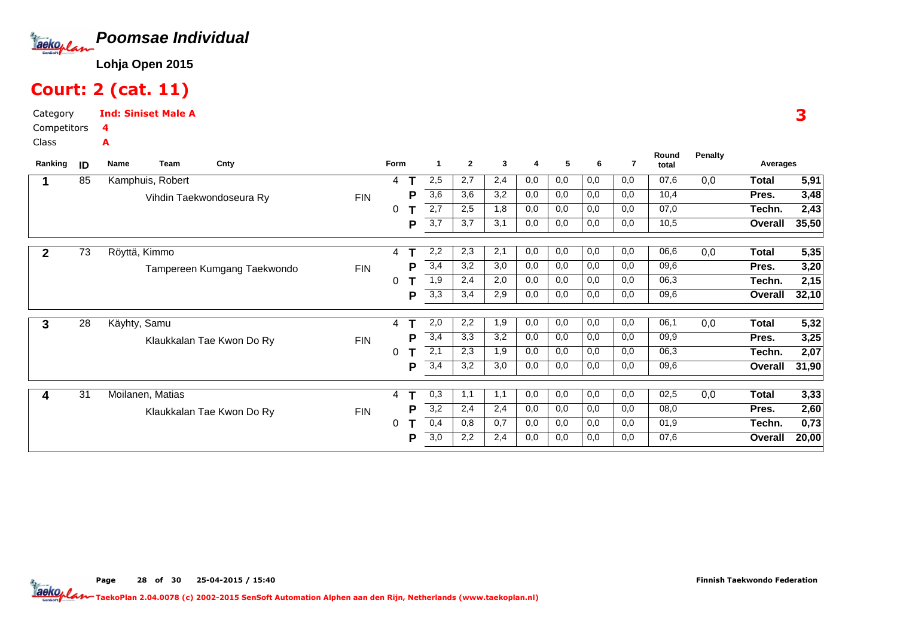

# Court: 2 (cat. 11)

Category CompetitorsInd: Siniset Male A4

A

Class

| Ranking      | ID              | <b>Name</b>  | Team             | Cnty                        |            | Form |   | -1               | $\mathbf{2}$ | 3   | 4   | 5   | 6   | 7   | Round<br>total | <b>Penalty</b> | Averages     |       |
|--------------|-----------------|--------------|------------------|-----------------------------|------------|------|---|------------------|--------------|-----|-----|-----|-----|-----|----------------|----------------|--------------|-------|
|              | 85              |              | Kamphuis, Robert |                             |            | 4    |   | 2,5              | 2,7          | 2,4 | 0,0 | 0,0 | 0,0 | 0,0 | 07,6           | 0,0            | <b>Total</b> | 5,91  |
|              |                 |              |                  | Vihdin Taekwondoseura Ry    | <b>FIN</b> |      | P | 3,6              | 3,6          | 3,2 | 0,0 | 0,0 | 0,0 | 0,0 | 10,4           |                | Pres.        | 3,48  |
|              |                 |              |                  |                             |            | 0    |   | 2,7              | 2,5          | 1,8 | 0,0 | 0,0 | 0,0 | 0,0 | 07,0           |                | Techn.       | 2,43  |
|              |                 |              |                  |                             |            |      | P | 3,7              | 3,7          | 3,1 | 0,0 | 0,0 | 0,0 | 0,0 | 10,5           |                | Overall      | 35,50 |
| $\mathbf{2}$ | $\overline{73}$ |              | Röyttä, Kimmo    |                             |            | 4    |   | 2,2              | 2,3          | 2,1 | 0,0 | 0,0 | 0,0 | 0,0 | 06,6           | 0,0            | <b>Total</b> | 5,35  |
|              |                 |              |                  | Tampereen Kumgang Taekwondo | <b>FIN</b> |      | P | 3,4              | 3,2          | 3,0 | 0,0 | 0,0 | 0,0 | 0,0 | 09,6           |                | Pres.        | 3,20  |
|              |                 |              |                  |                             |            | 0    |   | 1,9              | 2,4          | 2,0 | 0,0 | 0,0 | 0,0 | 0,0 | 06,3           |                | Techn.       | 2,15  |
|              |                 |              |                  |                             |            |      | P | 3,3              | 3,4          | 2,9 | 0,0 | 0,0 | 0,0 | 0,0 | 09,6           |                | Overall      | 32,10 |
| 3            | $\overline{28}$ | Käyhty, Samu |                  |                             |            | 4    |   | 2,0              | 2,2          | 1,9 | 0,0 | 0,0 | 0,0 | 0,0 | 06,1           | 0,0            | <b>Total</b> | 5,32  |
|              |                 |              |                  | Klaukkalan Tae Kwon Do Ry   | <b>FIN</b> |      | P | 3,4              | 3,3          | 3,2 | 0,0 | 0,0 | 0,0 | 0,0 | 09,9           |                | Pres.        | 3,25  |
|              |                 |              |                  |                             |            | 0    |   | $\overline{2,1}$ | 2,3          | 1,9 | 0,0 | 0,0 | 0,0 | 0,0 | 06,3           |                | Techn.       | 2,07  |
|              |                 |              |                  |                             |            |      | Р | 3,4              | 3,2          | 3,0 | 0,0 | 0,0 | 0,0 | 0,0 | 09,6           |                | Overall      | 31,90 |
|              | 31              |              | Moilanen, Matias |                             |            | 4    |   | 0,3              | 1,1          | 1,1 | 0,0 | 0,0 | 0,0 | 0,0 | 02,5           | 0,0            | <b>Total</b> | 3,33  |
|              |                 |              |                  | Klaukkalan Tae Kwon Do Ry   | <b>FIN</b> |      | Р | 3,2              | 2,4          | 2,4 | 0,0 | 0,0 | 0,0 | 0,0 | 08,0           |                | Pres.        | 2,60  |
|              |                 |              |                  |                             |            | 0    |   | 0,4              | 0,8          | 0,7 | 0,0 | 0,0 | 0,0 | 0,0 | 01,9           |                | Techn.       | 0,73  |
|              |                 |              |                  |                             |            |      | P | 3,0              | 2,2          | 2,4 | 0,0 | 0,0 | 0,0 | 0,0 | 07,6           |                | Overall      | 20,00 |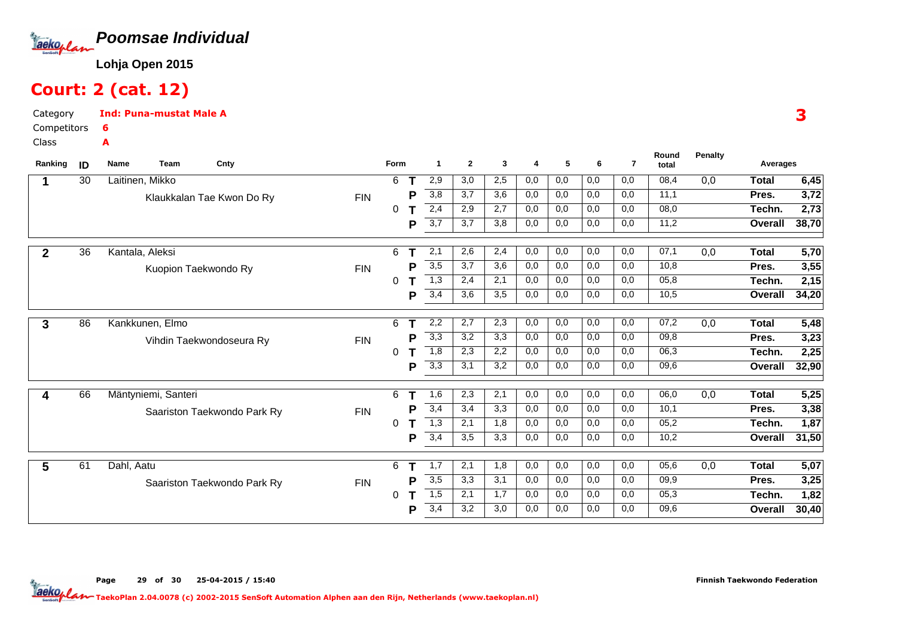

### Court: 2 (cat. 12)

A

CategoryInd: Puna-mustat Male A6

Competitors

Class

|             | 30 | Laitinen, Mikko             |            |          | Form | -1               | $\overline{2}$ | 3   | 4   | 5   | 6   | $\overline{7}$ | total |     | Averages     |                   |
|-------------|----|-----------------------------|------------|----------|------|------------------|----------------|-----|-----|-----|-----|----------------|-------|-----|--------------|-------------------|
|             |    |                             |            | 6        |      | 2,9              | 3,0            | 2,5 | 0,0 | 0,0 | 0,0 | 0,0            | 08,4  | 0,0 | <b>Total</b> | 6,45              |
|             |    | Klaukkalan Tae Kwon Do Ry   | <b>FIN</b> |          | P    | 3,8              | 3,7            | 3,6 | 0,0 | 0,0 | 0,0 | 0,0            | 11,1  |     | Pres.        | 3,72              |
|             |    |                             |            | $\Omega$ |      | 2,4              | 2,9            | 2,7 | 0,0 | 0,0 | 0,0 | 0,0            | 08,0  |     | Techn.       | 2,73              |
|             |    |                             |            |          | Р    | 3,7              | 3,7            | 3,8 | 0,0 | 0,0 | 0,0 | 0,0            | 11,2  |     | Overall      | 38,70             |
| $\mathbf 2$ | 36 | Kantala, Aleksi             |            | 6        |      | 2,1              | 2,6            | 2,4 | 0,0 | 0,0 | 0,0 | 0,0            | 07,1  | 0,0 | <b>Total</b> | 5,70              |
|             |    | Kuopion Taekwondo Ry        | <b>FIN</b> |          | Р    | 3,5              | 3,7            | 3,6 | 0,0 | 0,0 | 0,0 | 0,0            | 10,8  |     | Pres.        | $\overline{3,55}$ |
|             |    |                             |            | 0        |      | 1,3              | 2,4            | 2,1 | 0,0 | 0,0 | 0,0 | 0,0            | 05,8  |     | Techn.       | 2,15              |
|             |    |                             |            |          | Р    | 3,4              | 3,6            | 3,5 | 0,0 | 0,0 | 0,0 | 0,0            | 10,5  |     | Overall      | 34,20             |
| 3           | 86 | Kankkunen, Elmo             |            | 6        |      | 2,2              | 2,7            | 2,3 | 0,0 | 0,0 | 0,0 | 0,0            | 07,2  | 0,0 | <b>Total</b> | 5,48              |
|             |    | Vihdin Taekwondoseura Ry    | <b>FIN</b> |          | Р    | 3,3              | 3,2            | 3,3 | 0,0 | 0,0 | 0,0 | 0,0            | 09,8  |     | Pres.        | 3,23              |
|             |    |                             |            | 0        |      | $\overline{1,8}$ | 2,3            | 2,2 | 0,0 | 0,0 | 0,0 | 0,0            | 06,3  |     | Techn.       | 2,25              |
|             |    |                             |            |          | Р    | 3,3              | 3,1            | 3,2 | 0,0 | 0,0 | 0,0 | 0,0            | 09,6  |     | Overall      | 32,90             |
|             | 66 | Mäntyniemi, Santeri         |            | 6        |      | 1,6              | 2,3            | 2,1 | 0,0 | 0,0 | 0,0 | 0,0            | 06,0  | 0,0 | <b>Total</b> | 5,25              |
|             |    | Saariston Taekwondo Park Ry | <b>FIN</b> |          | P    | 3,4              | 3,4            | 3,3 | 0,0 | 0,0 | 0,0 | 0,0            | 10,1  |     | Pres.        | 3,38              |
|             |    |                             |            | $\Omega$ |      | $\overline{1,3}$ | 2,1            | 1,8 | 0,0 | 0,0 | 0,0 | 0,0            | 05,2  |     | Techn.       | 1,87              |
|             |    |                             |            |          | Ρ    | 3,4              | 3,5            | 3,3 | 0,0 | 0,0 | 0,0 | 0,0            | 10,2  |     | Overall      | 31,50             |
| 5           | 61 | Dahl, Aatu                  |            | 6        |      | 1,7              | 2,1            | 1,8 | 0,0 | 0,0 | 0,0 | 0,0            | 05,6  | 0,0 | <b>Total</b> | 5,07              |
|             |    | Saariston Taekwondo Park Ry | <b>FIN</b> |          | Р    | 3,5              | 3,3            | 3,1 | 0,0 | 0,0 | 0,0 | 0,0            | 09,9  |     | Pres.        | 3,25              |
|             |    |                             |            | 0        |      | 1,5              | 2,1            | 1,7 | 0,0 | 0,0 | 0,0 | 0,0            | 05,3  |     | Techn.       | 1,82              |
|             |    |                             |            |          | P    | 3,4              | 3,2            | 3,0 | 0,0 | 0,0 | 0,0 | 0,0            | 09,6  |     | Overall      | 30,40             |

3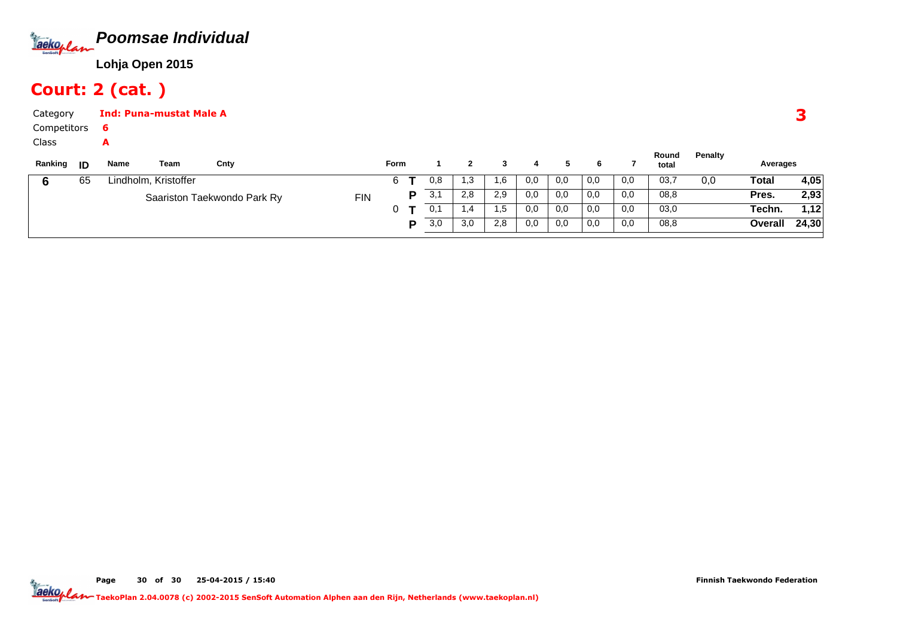

# Court: 2 (cat. )

| Category             |    |        | <b>Ind: Puna-mustat Male A</b> |                             |            |      |     |      |               |     |     |     |      |                |         |          |      |
|----------------------|----|--------|--------------------------------|-----------------------------|------------|------|-----|------|---------------|-----|-----|-----|------|----------------|---------|----------|------|
| Competitors<br>Class |    | 6<br>А |                                |                             |            |      |     |      |               |     |     |     |      |                |         |          |      |
| Ranking <b>ID</b>    |    | Name   | Team                           | Cnty                        |            | Form |     |      |               |     |     | 6.  |      | Round<br>total | Penalty | Averages |      |
| 6                    | 65 |        | Lindholm, Kristoffer           |                             |            | 6    | 0,8 | 3. ا | .6            | 0,0 | 0,0 | 0,0 | 0,0  | 03,7           | 0,0     | Total    | 4,05 |
|                      |    |        |                                | Saariston Taekwondo Park Ry | <b>FIN</b> | D    | 3,1 | 2,8  | 2,9           | 0,0 | 0,0 | 0,0 | 0,0  | 08,8           |         | Pres.    | 2,93 |
|                      |    |        |                                |                             |            |      | .   | .    | $\sim$ $\sim$ | .   | __  | - - | $ -$ | $  -$          |         |          |      |

0**T**

**P**

0,1 | 1,4 | 1,5 | 0,0 | 0,0 | 0,0 | 0,0

3,0 | 3,0 | 2,8 | 0,0 | 0,0 | 0,0 | 0,0

 $\overline{0,0}$ 

**1,12**

03,0 $\overline{08,8}$ 

Page 30 of 30 25-04-2015 / 15:40

 $\overline{1,12}$ 

**24,30**

**Techn.**

**Overall**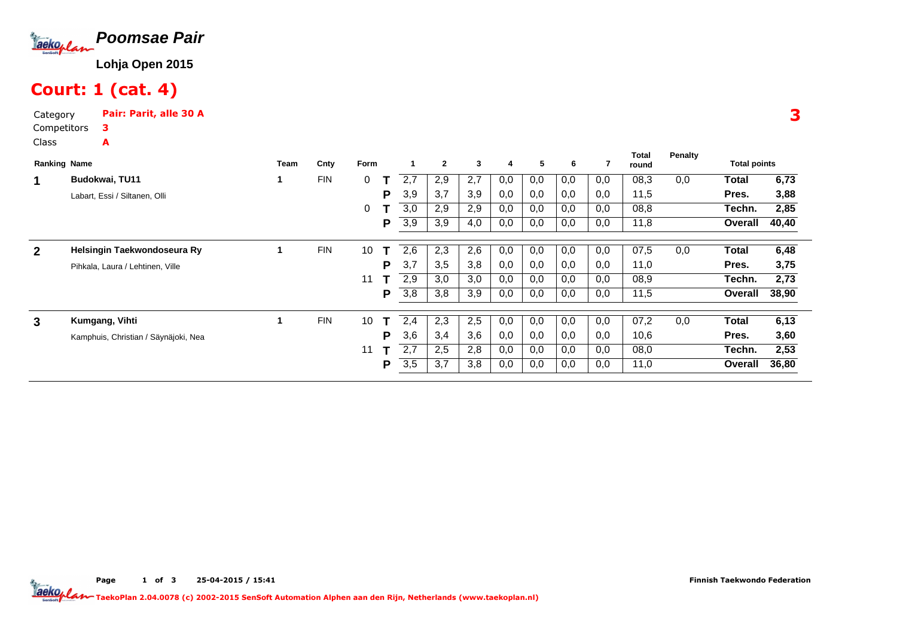

# Court: 1 (cat. 4)

A

Category Pair: Parit, alle 30 ACompetitors3

Class

| <b>Ranking Name</b> |                                      | Team | Cnty       | Form |   |     | $\mathbf{2}$ | 3   | 4   | 5   | 6   |     | <b>Total</b><br>round | Penalty | <b>Total points</b> |       |
|---------------------|--------------------------------------|------|------------|------|---|-----|--------------|-----|-----|-----|-----|-----|-----------------------|---------|---------------------|-------|
|                     | Budokwai, TU11                       |      | <b>FIN</b> | 0    |   | 2.7 | 2,9          | 2,7 | 0,0 | 0,0 | 0,0 | 0,0 | 08,3                  | 0,0     | Total               | 6,73  |
|                     | Labart, Essi / Siltanen, Olli        |      |            |      | P | 3,9 | 3,7          | 3,9 | 0,0 | 0,0 | 0,0 | 0,0 | 11,5                  |         | Pres.               | 3,88  |
|                     |                                      |      |            | 0    |   | 3.0 | 2,9          | 2,9 | 0,0 | 0,0 | 0,0 | 0,0 | 08,8                  |         | Techn.              | 2,85  |
|                     |                                      |      |            |      | P | 3,9 | 3,9          | 4,0 | 0,0 | 0,0 | 0,0 | 0,0 | 11,8                  |         | Overall             | 40,40 |
| $\mathbf{2}$        | Helsingin Taekwondoseura Ry          |      | <b>FIN</b> | 10   |   | 2,6 | 2,3          | 2,6 | 0,0 | 0,0 | 0,0 | 0,0 | 07,5                  | 0,0     | Total               | 6,48  |
|                     |                                      |      |            |      | P | 3,7 |              |     |     |     |     |     |                       |         | Pres.               |       |
|                     | Pihkala, Laura / Lehtinen, Ville     |      |            |      |   |     | 3,5          | 3,8 | 0,0 | 0,0 | 0,0 | 0,0 | 11,0                  |         |                     | 3,75  |
|                     |                                      |      |            | 11   |   | 2.9 | 3,0          | 3,0 | 0,0 | 0,0 | 0,0 | 0,0 | 08,9                  |         | Techn.              | 2,73  |
|                     |                                      |      |            |      | P | 3,8 | 3,8          | 3,9 | 0,0 | 0,0 | 0,0 | 0,0 | 11,5                  |         | Overall             | 38,90 |
|                     |                                      |      |            |      |   |     |              |     |     |     |     |     |                       |         |                     |       |
| 3                   | Kumgang, Vihti                       |      | <b>FIN</b> | 10   | т | 2,4 | 2,3          | 2,5 | 0,0 | 0,0 | 0,0 | 0,0 | 07,2                  | 0,0     | <b>Total</b>        | 6,13  |
|                     | Kamphuis, Christian / Säynäjoki, Nea |      |            |      | P | 3,6 | 3,4          | 3,6 | 0,0 | 0,0 | 0,0 | 0,0 | 10,6                  |         | Pres.               | 3,60  |
|                     |                                      |      |            | 11   |   | 2,7 | 2,5          | 2,8 | 0,0 | 0,0 | 0,0 | 0,0 | 08,0                  |         | Techn.              | 2,53  |
|                     |                                      |      |            |      | P | 3,5 | 3,7          | 3,8 | 0,0 | 0,0 | 0,0 | 0,0 | 11,0                  |         | Overall             | 36,80 |

3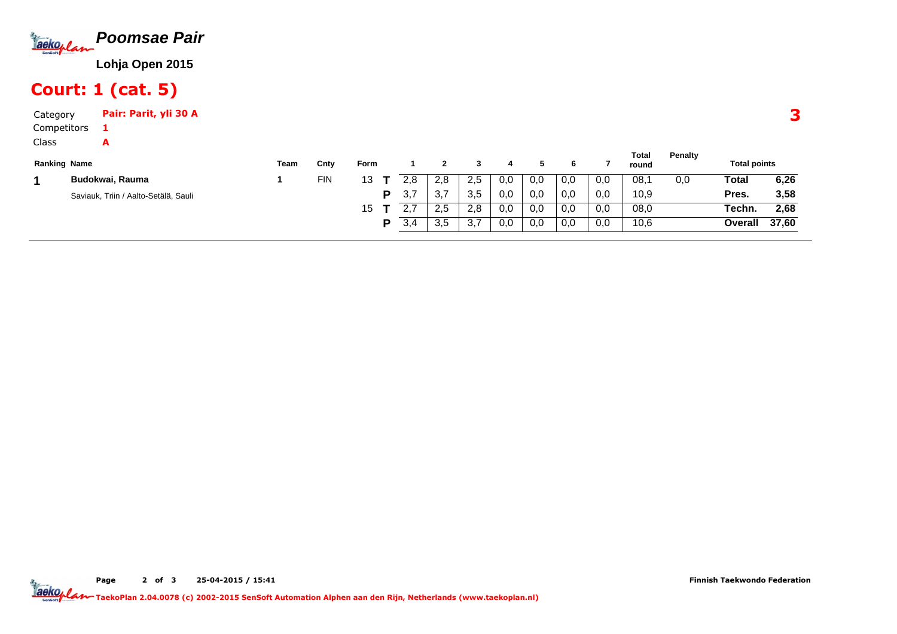

# Court: 1 (cat. 5)

A

Category Pair: Parit, yli 30 ACompetitors1

Class

| <b>Ranking Name</b> |                                      | Team | Cnty       | Form |     |                     |                            |     |     |     |     | Total<br>round | <b>Penalty</b> | <b>Total points</b> |       |
|---------------------|--------------------------------------|------|------------|------|-----|---------------------|----------------------------|-----|-----|-----|-----|----------------|----------------|---------------------|-------|
|                     | Budokwai, Rauma                      |      | <b>FIN</b> | 12   | 2.8 | 2,8                 | 2.5                        | 0,0 | 0,0 | 0,0 | 0,0 | 08.            | 0.0            | Total               | 6,26  |
|                     | Saviauk, Triin / Aalto-Setälä, Sauli |      |            | D    | 3.7 | $\sim$ $\sim$<br>◡. | 3.5                        | 0,0 | 0.0 | 0,0 | 0.0 | 10,9           |                | Pres.               | 3,58  |
|                     |                                      |      |            | 15   |     | 2,5                 | 2.8                        | 0,0 | 0,0 | 0,0 | 0,0 | 08,0           |                | Techn.              | 2,68  |
|                     |                                      |      |            | o    | 3,4 | 3,5                 | $\sim$ $\rightarrow$<br>J. | 0,0 | 0,0 | 0,0 | 0,0 | 10,6           |                | Overall             | 37,60 |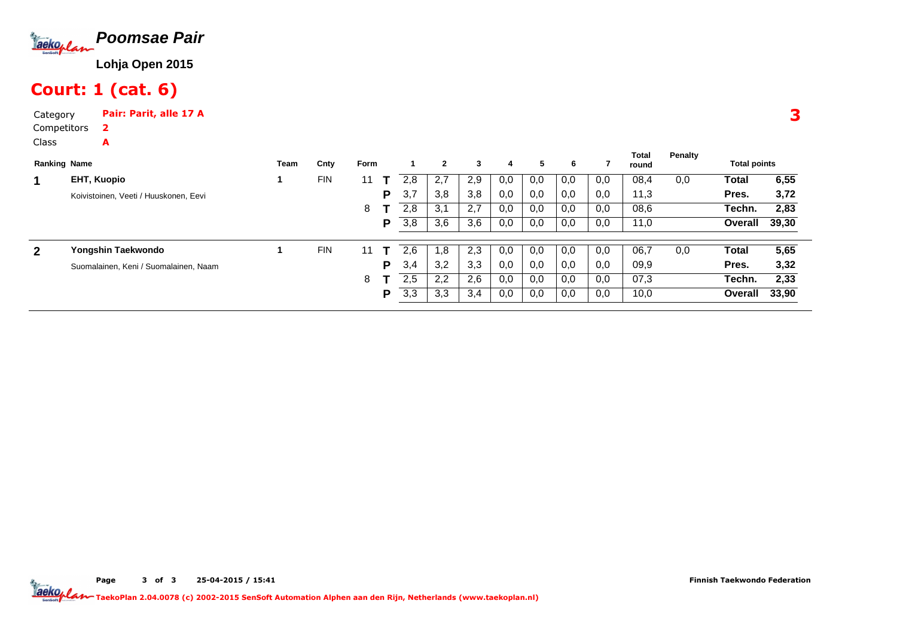

# Court: 1 (cat. 6)

A

Category Pair: Parit, alle 17 ACompetitors2

Class

|              | <b>Ranking Name</b>                   | Team | Cnty       | Form |   |     | $\overline{2}$ | 3   | 4   | 5   | 6   |     | <b>Total</b><br>round | Penalty | <b>Total points</b> |       |
|--------------|---------------------------------------|------|------------|------|---|-----|----------------|-----|-----|-----|-----|-----|-----------------------|---------|---------------------|-------|
| 1            | <b>EHT, Kuopio</b>                    |      | <b>FIN</b> | 11   |   | 2,8 | 2,7            | 2,9 | 0,0 | 0,0 | 0,0 | 0,0 | 08,4                  | 0,0     | Total               | 6,55  |
|              | Koivistoinen, Veeti / Huuskonen, Eevi |      |            |      | P | 3,7 | 3,8            | 3,8 | 0,0 | 0,0 | 0,0 | 0,0 | 11,3                  |         | Pres.               | 3,72  |
|              |                                       |      |            | 8    |   | 2,8 | 3,1            | 2,7 | 0,0 | 0,0 | 0,0 | 0,0 | 08,6                  |         | Techn.              | 2,83  |
|              |                                       |      |            |      | P | 3,8 | 3,6            | 3,6 | 0,0 | 0,0 | 0,0 | 0,0 | 11,0                  |         | Overall             | 39,30 |
| $\mathbf{2}$ | Yongshin Taekwondo                    |      | <b>FIN</b> | 11   |   | 2.6 | $\cdot$ .8     | 2,3 | 0,0 | 0,0 | 0,0 | 0,0 | 06,7                  | 0,0     | Total               | 5,65  |
|              | Suomalainen, Keni / Suomalainen, Naam |      |            |      | P | 3,4 | 3,2            | 3,3 | 0,0 | 0,0 | 0,0 | 0,0 | 09,9                  |         | Pres.               | 3,32  |
|              |                                       |      |            | 8    |   | 2,5 | 2,2            | 2,6 | 0,0 | 0,0 | 0,0 | 0,0 | 07,3                  |         | Techn.              | 2,33  |
|              |                                       |      |            |      | Р | 3,3 | 3,3            | 3,4 | 0,0 | 0,0 | 0,0 | 0,0 | 10,0                  |         | Overall             | 33.90 |

3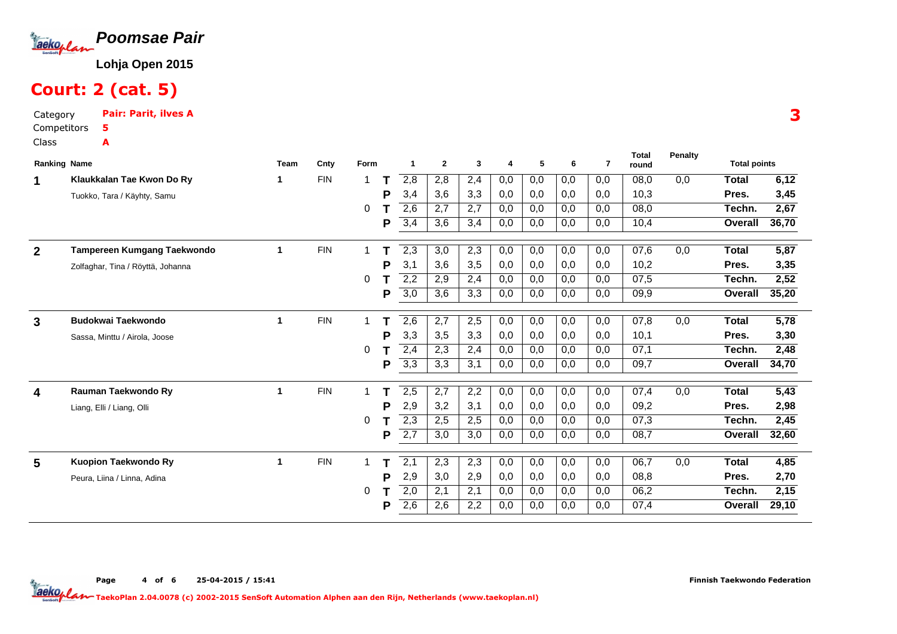

# Court: 2 (cat. 5)

Category Pair: Parit, ilves ACompetitorsClass5A

| <b>Ranking Name</b> |                                   | <b>Team</b> | Cnty       | Form         |   | $\mathbf{1}$     | $\mathbf{2}$     | 3   | 4   | 5   | 6   | $\overline{7}$ | <b>Total</b><br>round | Penalty          | <b>Total points</b> |                   |
|---------------------|-----------------------------------|-------------|------------|--------------|---|------------------|------------------|-----|-----|-----|-----|----------------|-----------------------|------------------|---------------------|-------------------|
| 1                   | Klaukkalan Tae Kwon Do Ry         | 1           | <b>FIN</b> | -1           | т | 2,8              | 2,8              | 2,4 | 0,0 | 0,0 | 0,0 | 0,0            | 08.0                  | 0.0              | <b>Total</b>        | 6,12              |
|                     | Tuokko, Tara / Käyhty, Samu       |             |            |              | P | 3,4              | 3,6              | 3,3 | 0,0 | 0,0 | 0,0 | 0,0            | 10,3                  |                  | Pres.               | 3,45              |
|                     |                                   |             |            | 0            |   | 2,6              | 2,7              | 2,7 | 0,0 | 0,0 | 0,0 | 0,0            | 08,0                  |                  | Techn.              | 2,67              |
|                     |                                   |             |            |              | P | 3,4              | 3,6              | 3,4 | 0,0 | 0,0 | 0,0 | 0,0            | 10,4                  |                  | Overall             | 36,70             |
|                     |                                   |             |            |              |   |                  |                  |     |     |     |     |                |                       |                  |                     |                   |
| $\mathbf{2}$        | Tampereen Kumgang Taekwondo       | $\mathbf 1$ | <b>FIN</b> | $\mathbf 1$  |   | $\overline{2,3}$ | 3,0              | 2,3 | 0,0 | 0,0 | 0,0 | 0,0            | 07,6                  | 0,0              | <b>Total</b>        | 5,87              |
|                     | Zolfaghar, Tina / Röyttä, Johanna |             |            |              | P | 3,1              | 3,6              | 3,5 | 0,0 | 0,0 | 0,0 | 0,0            | 10,2                  |                  | Pres.               | 3,35              |
|                     |                                   |             |            | 0            |   | 2,2              | 2,9              | 2,4 | 0,0 | 0,0 | 0,0 | 0,0            | 07,5                  |                  | Techn.              | 2,52              |
|                     |                                   |             |            |              | P | 3,0              | 3,6              | 3,3 | 0,0 | 0,0 | 0,0 | 0,0            | 09,9                  |                  | Overall             | 35,20             |
|                     |                                   |             |            |              |   |                  |                  |     |     |     |     |                |                       |                  |                     |                   |
| 3                   | <b>Budokwai Taekwondo</b>         | 1           | <b>FIN</b> | 1            |   | 2,6              | 2,7              | 2,5 | 0,0 | 0,0 | 0,0 | 0,0            | 07,8                  | 0,0              | <b>Total</b>        | 5,78              |
|                     | Sassa, Minttu / Airola, Joose     |             |            |              | P | 3,3              | 3,5              | 3,3 | 0,0 | 0,0 | 0,0 | 0,0            | 10,1                  |                  | Pres.               | 3,30              |
|                     |                                   |             |            | 0            |   | 2,4              | 2,3              | 2,4 | 0,0 | 0,0 | 0,0 | 0,0            | 07,1                  |                  | Techn.              | 2,48              |
|                     |                                   |             |            |              | P | 3,3              | 3,3              | 3,1 | 0,0 | 0,0 | 0,0 | 0,0            | 09,7                  |                  | Overall             | 34,70             |
|                     |                                   |             |            |              |   |                  |                  |     |     |     |     |                |                       |                  |                     |                   |
| 4                   | Rauman Taekwondo Ry               | 1           | <b>FIN</b> | $\mathbf{1}$ |   | 2,5              | $\overline{2,7}$ | 2,2 | 0,0 | 0,0 | 0,0 | 0,0            | 07,4                  | $\overline{0,0}$ | <b>Total</b>        | $\overline{5,43}$ |
|                     | Liang, Elli / Liang, Olli         |             |            |              | P | 2,9              | 3,2              | 3,1 | 0,0 | 0,0 | 0,0 | 0,0            | 09,2                  |                  | Pres.               | 2,98              |
|                     |                                   |             |            | 0            |   | 2,3              | 2,5              | 2,5 | 0,0 | 0,0 | 0,0 | 0,0            | 07,3                  |                  | Techn.              | 2,45              |
|                     |                                   |             |            |              | Р | 2,7              | 3,0              | 3,0 | 0,0 | 0,0 | 0,0 | 0,0            | 08,7                  |                  | Overall             | 32,60             |
| 5                   | Kuopion Taekwondo Ry              | 1           | <b>FIN</b> | 1            |   | 2,1              | 2,3              | 2,3 | 0,0 | 0,0 | 0,0 | 0,0            | 06,7                  | 0,0              | <b>Total</b>        | 4,85              |
|                     | Peura, Liina / Linna, Adina       |             |            |              | P | 2,9              | 3,0              | 2,9 | 0,0 | 0,0 | 0,0 | 0,0            | 08,8                  |                  | Pres.               | 2,70              |
|                     |                                   |             |            | 0            |   | 2,0              | 2,1              | 2,1 | 0,0 | 0,0 | 0,0 | 0,0            | 06,2                  |                  | Techn.              | 2,15              |
|                     |                                   |             |            |              | P | 2,6              | 2,6              | 2,2 | 0,0 | 0,0 | 0,0 | 0,0            | 07,4                  |                  | Overall             | 29,10             |
|                     |                                   |             |            |              |   |                  |                  |     |     |     |     |                |                       |                  |                     |                   |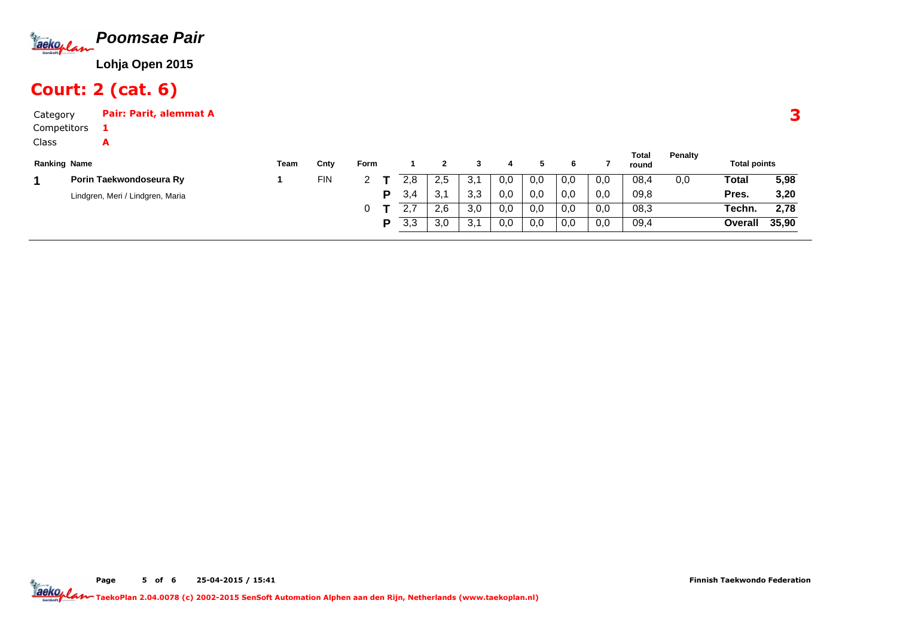

# Court: 2 (cat. 6)

A

| Category    | Pair: Parit, alemmat A |
|-------------|------------------------|
| Competitors |                        |

Class

|                     |                                  |      |            |      |             |                       |              |     |     |     |     | Total | <b>Penalty</b> |                     |       |
|---------------------|----------------------------------|------|------------|------|-------------|-----------------------|--------------|-----|-----|-----|-----|-------|----------------|---------------------|-------|
| <b>Ranking Name</b> |                                  | Team | Cnty       | Form |             |                       |              |     |     |     |     | round |                | <b>Total points</b> |       |
|                     | Porin Taekwondoseura Ry          |      | <b>FIN</b> |      | 2.8         | 2,5                   | З.           | 0,0 | 0,0 | 0,0 | 0,0 | 08,4  | 0.0            | Total               | 5,98  |
|                     | Lindgren, Meri / Lindgren, Maria |      |            | D    | 3.4         | 2 <sub>1</sub><br>ູບ. | ່າ າ<br>.ა.ა | 0,0 | 0.0 | 0,0 | 0,0 | 09,8  |                | Pres.               | 3,20  |
|                     |                                  |      |            |      | <u>. . </u> | 2,6                   | 3 O<br>.J.U  | 0,0 | 0,0 | 0,0 | 0,0 | 08,3  |                | Techn.              | 2,78  |
|                     |                                  |      |            | D    | 3,3         | 3,0                   | - 21<br>ູບ.  | 0,0 | 0,0 | 0,0 | 0,0 | 09,4  |                | Overall             | 35,90 |

3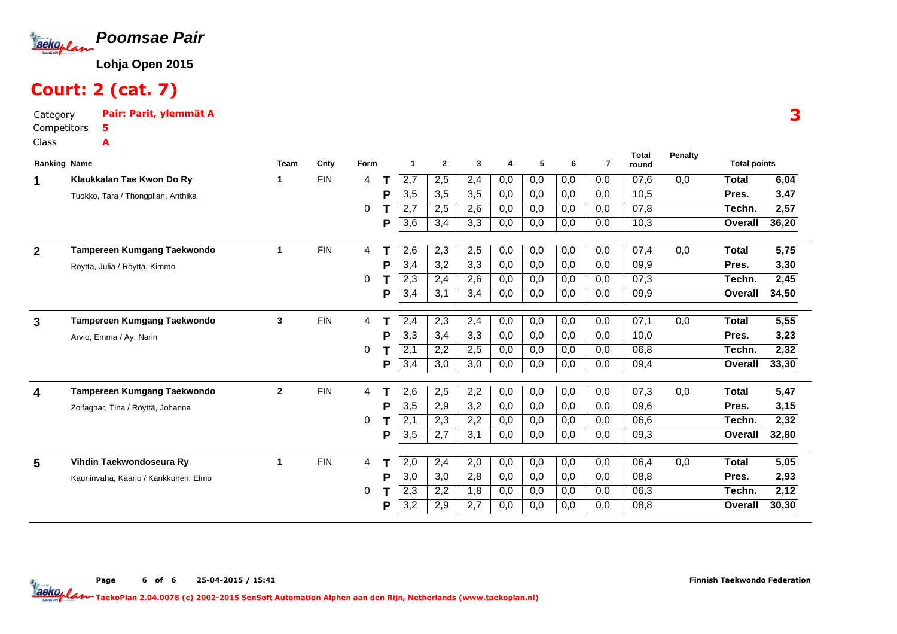

# Court: 2 (cat. 7)

Category Pair: Parit, ylemmät ACompetitorsClass5A

| <b>Ranking Name</b> |                                       | <b>Team</b>  | Cnty       | Form |   | 1                | $\mathbf{2}$ | 3   | 4   | 5   | 6   | $\overline{7}$ | <b>Total</b><br>round | Penalty | <b>Total points</b> |       |
|---------------------|---------------------------------------|--------------|------------|------|---|------------------|--------------|-----|-----|-----|-----|----------------|-----------------------|---------|---------------------|-------|
| 1                   | Klaukkalan Tae Kwon Do Ry             | 1            | <b>FIN</b> | 4    |   | $\overline{2,7}$ | 2,5          | 2,4 | 0,0 | 0,0 | 0,0 | 0,0            | 07,6                  | 0,0     | <b>Total</b>        | 6,04  |
|                     | Tuokko, Tara / Thongplian, Anthika    |              |            |      | Р | 3,5              | 3,5          | 3,5 | 0,0 | 0,0 | 0,0 | 0,0            | 10,5                  |         | Pres.               | 3,47  |
|                     |                                       |              |            | 0    |   | 2,7              | 2,5          | 2,6 | 0,0 | 0,0 | 0,0 | 0,0            | 07,8                  |         | Techn.              | 2,57  |
|                     |                                       |              |            |      | Р | 3,6              | 3,4          | 3,3 | 0,0 | 0,0 | 0,0 | 0,0            | 10,3                  |         | Overall             | 36,20 |
|                     | Tampereen Kumgang Taekwondo           | 1            | <b>FIN</b> |      |   |                  |              |     |     |     | 0,0 |                | 07,4                  | 0,0     | <b>Total</b>        | 5,75  |
| $\mathbf{2}$        |                                       |              |            | 4    |   | 2,6              | 2,3          | 2,5 | 0,0 | 0,0 |     | 0,0            |                       |         |                     |       |
|                     | Röyttä, Julia / Röyttä, Kimmo         |              |            |      | P | 3,4              | 3,2          | 3,3 | 0,0 | 0,0 | 0,0 | 0,0            | 09,9                  |         | Pres.               | 3,30  |
|                     |                                       |              |            | 0    |   | 2,3              | 2,4          | 2,6 | 0,0 | 0,0 | 0,0 | 0,0            | 07.3                  |         | Techn.              | 2,45  |
|                     |                                       |              |            |      | P | 3,4              | 3,1          | 3,4 | 0,0 | 0,0 | 0,0 | 0,0            | 09,9                  |         | Overall             | 34,50 |
| $\mathbf{3}$        | Tampereen Kumgang Taekwondo           | $\mathbf{3}$ | <b>FIN</b> | 4    |   | 2,4              | 2,3          | 2,4 | 0,0 | 0,0 | 0,0 | 0,0            | 07,1                  | 0,0     | Total               | 5,55  |
|                     | Arvio, Emma / Ay, Narin               |              |            |      | P | 3,3              | 3,4          | 3,3 | 0,0 | 0,0 | 0,0 | 0,0            | 10,0                  |         | Pres.               | 3,23  |
|                     |                                       |              |            | 0    |   | $\overline{2,1}$ | 2,2          | 2,5 | 0,0 | 0,0 | 0,0 | 0,0            | 06,8                  |         | Techn.              | 2,32  |
|                     |                                       |              |            |      | P | 3,4              | 3,0          | 3,0 | 0,0 | 0,0 | 0,0 | 0,0            | 09,4                  |         | <b>Overall</b>      | 33,30 |
|                     |                                       |              |            |      |   |                  |              |     |     |     |     |                |                       |         |                     |       |
| 4                   | Tampereen Kumgang Taekwondo           | $\mathbf{2}$ | <b>FIN</b> | 4    |   | 2,6              | 2,5          | 2,2 | 0,0 | 0,0 | 0,0 | 0,0            | 07,3                  | 0,0     | <b>Total</b>        | 5,47  |
|                     | Zolfaghar, Tina / Röyttä, Johanna     |              |            |      | P | 3,5              | 2,9          | 3,2 | 0,0 | 0,0 | 0,0 | 0,0            | 09,6                  |         | Pres.               | 3,15  |
|                     |                                       |              |            | 0    |   | 2,1              | 2,3          | 2,2 | 0,0 | 0,0 | 0,0 | 0.0            | 06,6                  |         | Techn.              | 2,32  |
|                     |                                       |              |            |      | Р | 3,5              | 2,7          | 3,1 | 0,0 | 0,0 | 0,0 | 0,0            | 09,3                  |         | Overall             | 32,80 |
| 5                   | Vihdin Taekwondoseura Ry              | 1            | <b>FIN</b> | 4    |   | $\overline{2,0}$ | 2,4          | 2,0 | 0,0 | 0,0 | 0,0 | 0,0            | 06,4                  | 0,0     | <b>Total</b>        | 5,05  |
|                     |                                       |              |            |      | Р | 3,0              | 3,0          | 2,8 | 0,0 | 0,0 | 0,0 | 0,0            | 08,8                  |         | Pres.               | 2,93  |
|                     | Kauriinvaha, Kaarlo / Kankkunen, Elmo |              |            | 0    |   | $\overline{2,3}$ | 2,2          | 1,8 | 0,0 | 0,0 | 0,0 | 0,0            | 06,3                  |         | Techn.              | 2,12  |
|                     |                                       |              |            |      | P | $\overline{3,2}$ | 2,9          | 2,7 | 0,0 | 0,0 | 0,0 | 0,0            | 08.8                  |         | Overall             | 30,30 |
|                     |                                       |              |            |      |   |                  |              |     |     |     |     |                |                       |         |                     |       |

Page 6 of 6 25-04-2015 / 15:41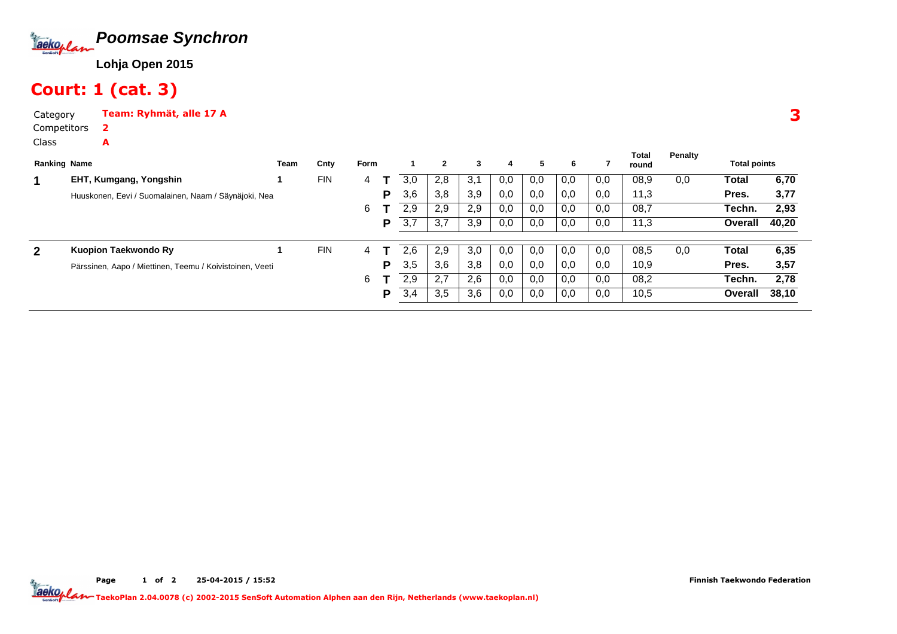

# Court: 1 (cat. 3)

2A

CategoryTeam: Ryhmät, alle 17 A

Competitors

Class

|              |                                                          | Team | Cnty       | Form |   |     | 2   | 3   | 4   | 5.  | 6   |     | <b>Total</b><br>round | Penalty | <b>Total points</b> |       |
|--------------|----------------------------------------------------------|------|------------|------|---|-----|-----|-----|-----|-----|-----|-----|-----------------------|---------|---------------------|-------|
|              | EHT, Kumgang, Yongshin                                   |      | <b>FIN</b> | 4    |   | 3.0 | 2,8 | 3,1 | 0,0 | 0,0 | 0,0 | 0,0 | 08,9                  | 0,0     | Total               | 6,70  |
|              | Huuskonen, Eevi / Suomalainen, Naam / Säynäjoki, Nea     |      |            |      | Р | 3,6 | 3,8 | 3,9 | 0,0 | 0,0 | 0,0 | 0,0 | 11,3                  |         | Pres.               | 3,77  |
|              |                                                          |      |            | 6    |   | 2,9 | 2,9 | 2,9 | 0,0 | 0,0 | 0,0 | 0,0 | 08,7                  |         | Techn.              | 2,93  |
|              |                                                          |      |            |      | Р | 3,7 | 3.7 | 3,9 | 0,0 | 0,0 | 0,0 | 0,0 | 11,3                  |         | Overall             | 40,20 |
| $\mathbf{2}$ | Kuopion Taekwondo Ry                                     |      | <b>FIN</b> | 4    |   | 2.6 | 2,9 | 3,0 | 0,0 | 0,0 | 0,0 | 0,0 | 08,5                  | 0,0     | Total               | 6,35  |
|              | Pärssinen, Aapo / Miettinen, Teemu / Koivistoinen, Veeti |      |            |      | P | 3,5 | 3,6 | 3,8 | 0,0 | 0,0 | 0,0 | 0,0 | 10,9                  |         | Pres.               | 3,57  |
|              |                                                          |      |            | 6    |   | 2,9 | 2.7 | 2,6 | 0,0 | 0,0 | 0,0 | 0,0 | 08,2                  |         | Techn.              | 2,78  |
|              |                                                          |      |            |      | Р | 3,4 | 3.5 | 3,6 | 0,0 | 0,0 | 0,0 | 0,0 | 10,5                  |         | Overall             | 38.10 |

3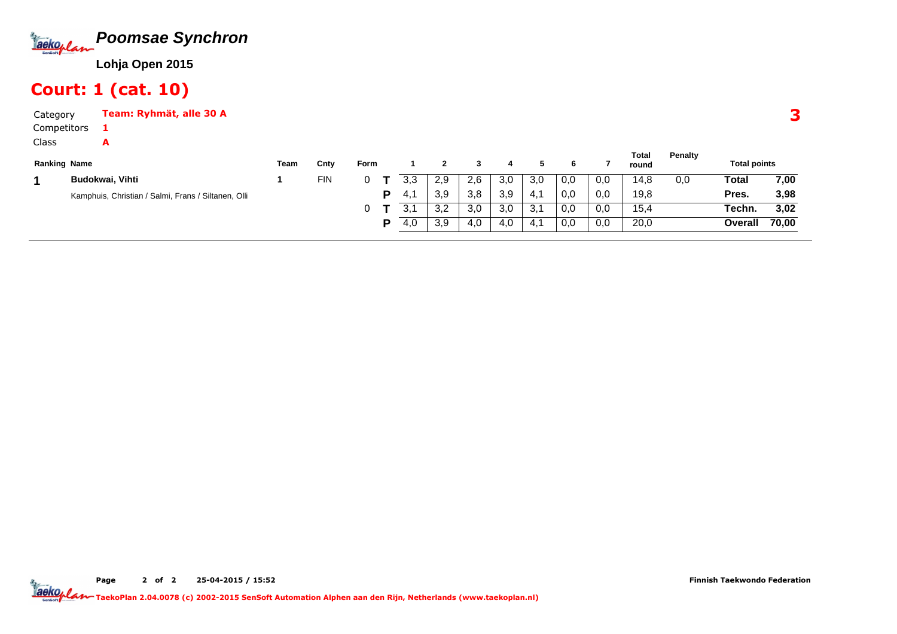

#### Court: 1 (cat. 10)

1A

CategoryTeam: Ryhmät, alle 30 A

Competitors

Class

|                                                     | Team                | Cnty       | Form |   |      |     |     |     |     |     |     | Total<br>round | Penalty |         |                     |
|-----------------------------------------------------|---------------------|------------|------|---|------|-----|-----|-----|-----|-----|-----|----------------|---------|---------|---------------------|
| <b>Budokwai, Vihti</b>                              |                     | <b>FIN</b> |      |   | 3.3  | 2,9 | 2.6 | 3,0 | 3,0 | 0,0 | 0,0 | 14,8           | 0,0     | Total   | 7,00                |
| Kamphuis, Christian / Salmi, Frans / Siltanen, Olli |                     |            |      | D | -4.1 | 3,9 | 3,8 | 3,9 | 4∴  | 0,0 | 0,0 | 19,8           |         | Pres.   | 3,98                |
|                                                     |                     |            |      |   |      | 3,2 | 3,0 | 3,0 | 3.7 | 0,0 | 0,0 | 15.4           |         | Techn.  | 3,02                |
|                                                     |                     |            |      | D | 4.0  | 3,9 | 4.0 | 4.0 | 4.1 | 0,0 | 0,0 | 20,0           |         | Overall | 70,00               |
|                                                     | <b>Ranking Name</b> |            |      |   |      |     |     |     |     |     |     |                |         |         | <b>Total points</b> |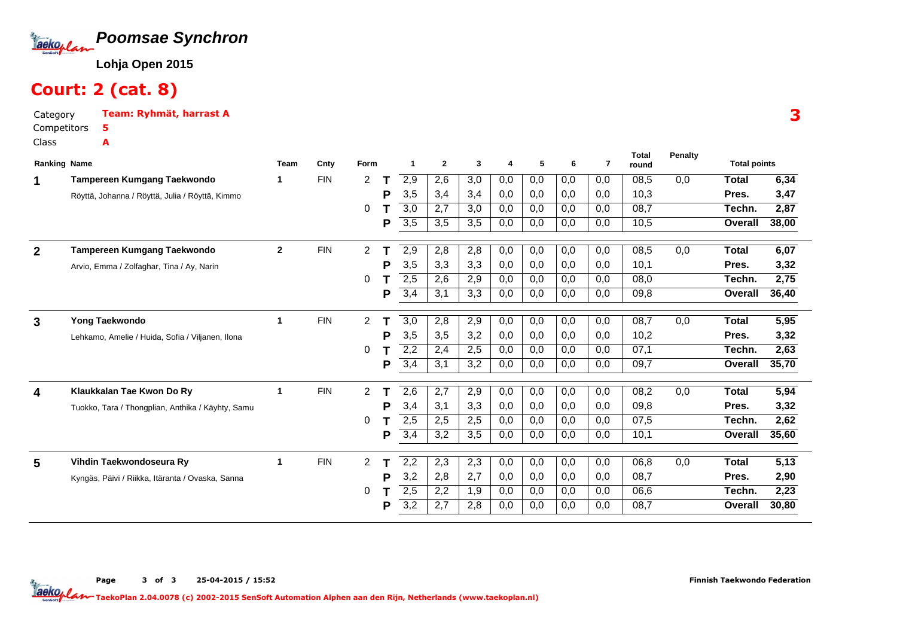

#### Court: 2 (cat. 8)

Category Team: Ryhmät, harrast ACompetitors5A

Class

| <b>Ranking Name</b> |                                                   | Team         | Cnty       | Form           |   |                  | $\overline{2}$ | 3                | 4   | 5   | 6                | 7   | Total<br>round | <b>Penalty</b> | <b>Total points</b> |                   |
|---------------------|---------------------------------------------------|--------------|------------|----------------|---|------------------|----------------|------------------|-----|-----|------------------|-----|----------------|----------------|---------------------|-------------------|
| 1                   | Tampereen Kumgang Taekwondo                       |              | <b>FIN</b> | 2              |   | 2,9              | 2,6            | 3,0              | 0,0 | 0,0 | 0,0              | 0,0 | 08,5           | 0,0            | Total               | 6,34              |
|                     | Röyttä, Johanna / Röyttä, Julia / Röyttä, Kimmo   |              |            |                | P | 3,5              | 3,4            | 3,4              | 0,0 | 0,0 | 0,0              | 0,0 | 10,3           |                | Pres.               | 3,47              |
|                     |                                                   |              |            | 0              |   | 3,0              | 2,7            | 3,0              | 0,0 | 0,0 | 0,0              | 0,0 | 08,7           |                | Techn.              | 2,87              |
|                     |                                                   |              |            |                | P | 3,5              | 3,5            | 3,5              | 0,0 | 0,0 | 0,0              | 0,0 | 10,5           |                | Overall             | 38,00             |
| $\mathbf{2}$        | Tampereen Kumgang Taekwondo                       | $\mathbf{2}$ | <b>FIN</b> | $\overline{2}$ | т | $\overline{2,9}$ | 2,8            | 2,8              | 0,0 | 0,0 | 0,0              | 0,0 | 08,5           | 0,0            | <b>Total</b>        | 6,07              |
|                     | Arvio, Emma / Zolfaghar, Tina / Ay, Narin         |              |            |                | P | 3,5              | 3,3            | 3,3              | 0,0 | 0,0 | 0,0              | 0.0 | 10.1           |                | Pres.               | 3,32              |
|                     |                                                   |              |            | 0              |   | 2,5              | 2,6            | 2,9              | 0,0 | 0,0 | 0,0              | 0,0 | 08.0           |                | Techn.              | 2,75              |
|                     |                                                   |              |            |                | P | 3,4              | 3,1            | 3,3              | 0,0 | 0,0 | 0,0              | 0.0 | 09,8           |                | Overall             | 36,40             |
| 3                   | Yong Taekwondo                                    | 1            | <b>FIN</b> | $\overline{2}$ |   | $\overline{3,0}$ | 2,8            | 2,9              | 0,0 | 0,0 | 0,0              | 0,0 | 08,7           | 0,0            | Total               | $\overline{5,95}$ |
|                     | Lehkamo, Amelie / Huida, Sofia / Viljanen, Ilona  |              |            |                | P | 3,5              | 3,5            | 3,2              | 0,0 | 0,0 | 0,0              | 0.0 | 10,2           |                | Pres.               | 3,32              |
|                     |                                                   |              |            | 0              |   | 2,2              | 2,4            | 2,5              | 0,0 | 0,0 | 0,0              | 0,0 | 07,1           |                | Techn.              | 2,63              |
|                     |                                                   |              |            |                | P | 3,4              | 3,1            | 3,2              | 0,0 | 0,0 | 0,0              | 0.0 | 09,7           |                | Overall             | 35,70             |
| 4                   | Klaukkalan Tae Kwon Do Ry                         | 1            | <b>FIN</b> | $\overline{2}$ |   | 2,6              | 2,7            | 2,9              | 0,0 | 0,0 | 0,0              | 0,0 | 08,2           | 0,0            | <b>Total</b>        | 5,94              |
|                     | Tuokko, Tara / Thongplian, Anthika / Käyhty, Samu |              |            |                | P | 3,4              | 3,1            | 3,3              | 0,0 | 0,0 | 0,0              | 0,0 | 09.8           |                | Pres.               | 3,32              |
|                     |                                                   |              |            | 0              |   | 2,5              | 2,5            | 2,5              | 0,0 | 0,0 | 0,0              | 0,0 | 07,5           |                | Techn.              | 2,62              |
|                     |                                                   |              |            |                | P | 3,4              | 3,2            | 3,5              | 0,0 | 0,0 | 0,0              | 0.0 | 10,1           |                | <b>Overall</b>      | 35,60             |
| 5                   | Vihdin Taekwondoseura Ry                          | 1            | <b>FIN</b> | 2              |   | 2,2              | 2,3            | $\overline{2,3}$ | 0,0 | 0,0 | $\overline{0,0}$ | 0,0 | 06,8           | 0,0            | <b>Total</b>        | $\overline{5,13}$ |
|                     | Kyngäs, Päivi / Riikka, Itäranta / Ovaska, Sanna  |              |            |                | P | 3,2              | 2,8            | 2,7              | 0,0 | 0,0 | 0,0              | 0,0 | 08,7           |                | Pres.               | 2,90              |
|                     |                                                   |              |            | 0              |   | 2,5              | 2,2            | 1,9              | 0,0 | 0,0 | 0,0              | 0.0 | 06.6           |                | Techn.              | 2,23              |
|                     |                                                   |              |            |                | P | 3,2              | 2,7            | 2,8              | 0,0 | 0,0 | 0,0              | 0.0 | 08,7           |                | Overall             | 30,80             |

3

Page 3 of 3 25-04-2015 / 15:52

Finnish Taekwondo Federation